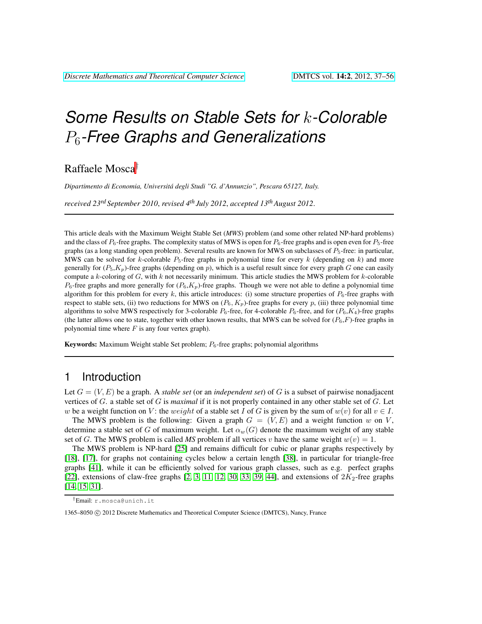# *Some Results on Stable Sets for* k*-Colorable* P6*-Free Graphs and Generalizations*

Raffaele Mosca†

*Dipartimento di Economia, Universita degli Studi "G. d'Annunzio", Pescara 65127, Italy. ´*

*received 23rd September 2010*, *revised 4th July 2012*, *accepted 13thAugust 2012*.

This article deals with the Maximum Weight Stable Set (*MWS*) problem (and some other related NP-hard problems) and the class of  $P_6$ -free graphs. The complexity status of MWS is open for  $P_6$ -free graphs and is open even for  $P_5$ -free graphs (as a long standing open problem). Several results are known for MWS on subclasses of  $P_5$ -free: in particular, MWS can be solved for k-colorable  $P_5$ -free graphs in polynomial time for every k (depending on k) and more generally for  $(P_5, K_p)$ -free graphs (depending on p), which is a useful result since for every graph G one can easily compute a  $k$ -coloring of  $G$ , with  $k$  not necessarily minimum. This article studies the MWS problem for  $k$ -colorable  $P_6$ -free graphs and more generally for  $(P_6, K_p)$ -free graphs. Though we were not able to define a polynomial time algorithm for this problem for every k, this article introduces: (i) some structure properties of  $P_6$ -free graphs with respect to stable sets, (ii) two reductions for MWS on  $(P_6, K_p)$ -free graphs for every p, (iii) three polynomial time algorithms to solve MWS respectively for 3-colorable  $P_6$ -free, for 4-colorable  $P_6$ -free, and for  $(P_6, K_4)$ -free graphs (the latter allows one to state, together with other known results, that MWS can be solved for  $(P_6, F)$ -free graphs in polynomial time where  $F$  is any four vertex graph).

**Keywords:** Maximum Weight stable Set problem;  $P_6$ -free graphs; polynomial algorithms

### 1 Introduction

Let  $G = (V, E)$  be a graph. A *stable set* (or an *independent set*) of G is a subset of pairwise nonadjacent vertices of G. a stable set of G is *maximal* if it is not properly contained in any other stable set of G. Let w be a weight function on V: the weight of a stable set I of G is given by the sum of  $w(v)$  for all  $v \in I$ .

The MWS problem is the following: Given a graph  $G = (V, E)$  and a weight function w on V, determine a stable set of G of maximum weight. Let  $\alpha_w(G)$  denote the maximum weight of any stable set of G. The MWS problem is called *MS* problem if all vertices v have the same weight  $w(v) = 1$ .

The MWS problem is NP-hard [\[25\]](#page-17-0) and remains difficult for cubic or planar graphs respectively by [\[18\]](#page-17-1), [\[17\]](#page-17-2), for graphs not containing cycles below a certain length [\[38\]](#page-18-0), in particular for triangle-free graphs [\[41\]](#page-18-1), while it can be efficiently solved for various graph classes, such as e.g. perfect graphs [\[22\]](#page-17-3), extensions of claw-free graphs [\[2,](#page-16-0) [3,](#page-16-1) [11,](#page-16-2) [12,](#page-17-4) [30,](#page-17-5) [33,](#page-17-6) [39,](#page-18-2) [44\]](#page-18-3), and extensions of  $2K_2$ -free graphs [\[14,](#page-17-7) [15,](#page-17-8) [31\]](#page-17-9).

<sup>†</sup>Email: r.mosca@unich.it

<sup>1365–8050 (</sup>C) 2012 Discrete Mathematics and Theoretical Computer Science (DMTCS), Nancy, France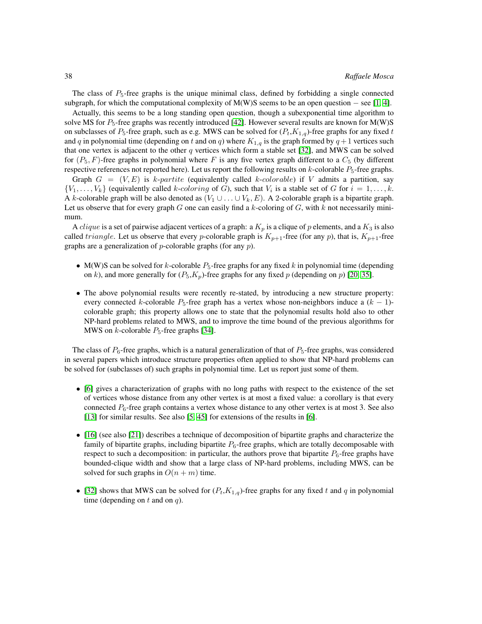The class of  $P_5$ -free graphs is the unique minimal class, defined by forbidding a single connected subgraph, for which the computational complexity of M(W)S seems to be an open question – see [\[1,](#page-16-3) [4\]](#page-16-4).

Actually, this seems to be a long standing open question, though a subexponential time algorithm to solve MS for  $P_5$ -free graphs was recently introduced [\[42\]](#page-18-4). However several results are known for M(W)S on subclasses of  $P_5$ -free graph, such as e.g. MWS can be solved for  $(P_t,K_{1,q})$ -free graphs for any fixed t and q in polynomial time (depending on t and on q) where  $K_{1,q}$  is the graph formed by  $q+1$  vertices such that one vertex is adjacent to the other q vertices which form a stable set [\[32\]](#page-17-10), and MWS can be solved for  $(P_5, F)$ -free graphs in polynomial where F is any five vertex graph different to a  $C_5$  (by different respective references not reported here). Let us report the following results on  $k$ -colorable  $P_5$ -free graphs.

Graph  $G = (V, E)$  is k-partite (equivalently called k-colorable) if V admits a partition, say  $\{V_1, \ldots, V_k\}$  (equivalently called k-coloring of G), such that  $V_i$  is a stable set of G for  $i = 1, \ldots, k$ . A k-colorable graph will be also denoted as  $(V_1 \cup \ldots \cup V_k, E)$ . A 2-colorable graph is a bipartite graph. Let us observe that for every graph  $G$  one can easily find a k-coloring of  $G$ , with  $k$  not necessarily minimum.

A *clique* is a set of pairwise adjacent vertices of a graph: a  $K_p$  is a clique of p elements, and a  $K_3$  is also called *triangle*. Let us observe that every *p*-colorable graph is  $K_{p+1}$ -free (for any *p*), that is,  $K_{p+1}$ -free graphs are a generalization of  $p$ -colorable graphs (for any  $p$ ).

- M(W)S can be solved for k-colorable  $P_5$ -free graphs for any fixed k in polynomial time (depending on k), and more generally for  $(P_5, K_p)$ -free graphs for any fixed p (depending on p) [\[20,](#page-17-11) [35\]](#page-18-5).
- The above polynomial results were recently re-stated, by introducing a new structure property: every connected k-colorable  $P_5$ -free graph has a vertex whose non-neighbors induce a  $(k - 1)$ colorable graph; this property allows one to state that the polynomial results hold also to other NP-hard problems related to MWS, and to improve the time bound of the previous algorithms for MWS on  $k$ -colorable  $P_5$ -free graphs [\[34\]](#page-18-6).

The class of  $P_6$ -free graphs, which is a natural generalization of that of  $P_5$ -free graphs, was considered in several papers which introduce structure properties often applied to show that NP-hard problems can be solved for (subclasses of) such graphs in polynomial time. Let us report just some of them.

- [\[6\]](#page-16-5) gives a characterization of graphs with no long paths with respect to the existence of the set of vertices whose distance from any other vertex is at most a fixed value: a corollary is that every connected  $P_6$ -free graph contains a vertex whose distance to any other vertex is at most 3. See also [\[13\]](#page-17-12) for similar results. See also [\[5,](#page-16-6) [45\]](#page-18-7) for extensions of the results in [\[6\]](#page-16-5).
- [\[16\]](#page-17-13) (see also [\[21\]](#page-17-14)) describes a technique of decomposition of bipartite graphs and characterize the family of bipartite graphs, including bipartite  $P_6$ -free graphs, which are totally decomposable with respect to such a decomposition: in particular, the authors prove that bipartite  $P_6$ -free graphs have bounded-clique width and show that a large class of NP-hard problems, including MWS, can be solved for such graphs in  $O(n + m)$  time.
- [\[32\]](#page-17-10) shows that MWS can be solved for  $(P_t, K_{1,q})$ -free graphs for any fixed t and q in polynomial time (depending on  $t$  and on  $q$ ).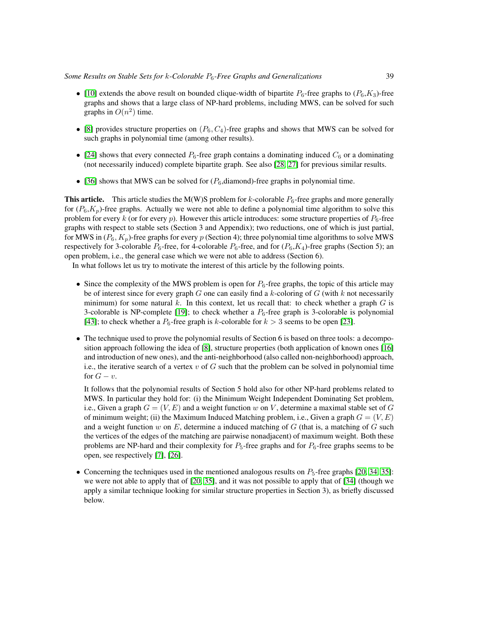- [\[10\]](#page-16-7) extends the above result on bounded clique-width of bipartite  $P_6$ -free graphs to  $(P_6, K_3)$ -free graphs and shows that a large class of NP-hard problems, including MWS, can be solved for such graphs in  $O(n^2)$  time.
- [\[8\]](#page-16-8) provides structure properties on  $(P_6, C_4)$ -free graphs and shows that MWS can be solved for such graphs in polynomial time (among other results).
- [\[24\]](#page-17-15) shows that every connected  $P_6$ -free graph contains a dominating induced  $C_6$  or a dominating (not necessarily induced) complete bipartite graph. See also [\[28,](#page-17-16) [27\]](#page-17-17) for previous similar results.
- [\[36\]](#page-18-8) shows that MWS can be solved for  $(P_6,$ diamond)-free graphs in polynomial time.

**This article.** This article studies the M(W)S problem for k-colorable  $P_6$ -free graphs and more generally for  $(P_6, K_p)$ -free graphs. Actually we were not able to define a polynomial time algorithm to solve this problem for every  $k$  (or for every  $p$ ). However this article introduces: some structure properties of  $P_6$ -free graphs with respect to stable sets (Section 3 and Appendix); two reductions, one of which is just partial, for MWS in  $(P_6, K_p)$ -free graphs for every p (Section 4); three polynomial time algorithms to solve MWS respectively for 3-colorable  $P_6$ -free, for 4-colorable  $P_6$ -free, and for  $(P_6, K_4)$ -free graphs (Section 5); an open problem, i.e., the general case which we were not able to address (Section 6).

In what follows let us try to motivate the interest of this article by the following points.

- Since the complexity of the MWS problem is open for  $P_6$ -free graphs, the topic of this article may be of interest since for every graph G one can easily find a  $k$ -coloring of G (with  $k$  not necessarily minimum) for some natural  $k$ . In this context, let us recall that: to check whether a graph  $G$  is 3-colorable is NP-complete [\[19\]](#page-17-18); to check whether a  $P_6$ -free graph is 3-colorable is polynomial [\[43\]](#page-18-9); to check whether a  $P_6$ -free graph is k-colorable for  $k > 3$  seems to be open [\[23\]](#page-17-19).
- The technique used to prove the polynomial results of Section 6 is based on three tools: a decomposition approach following the idea of [\[8\]](#page-16-8), structure properties (both application of known ones [\[16\]](#page-17-13) and introduction of new ones), and the anti-neighborhood (also called non-neighborhood) approach, i.e., the iterative search of a vertex  $v$  of  $G$  such that the problem can be solved in polynomial time for  $G - v$ .

It follows that the polynomial results of Section 5 hold also for other NP-hard problems related to MWS. In particular they hold for: (i) the Minimum Weight Independent Dominating Set problem, i.e., Given a graph  $G = (V, E)$  and a weight function w on V, determine a maximal stable set of G of minimum weight; (ii) the Maximum Induced Matching problem, i.e., Given a graph  $G = (V, E)$ and a weight function w on  $E$ , determine a induced matching of  $G$  (that is, a matching of  $G$  such the vertices of the edges of the matching are pairwise nonadjacent) of maximum weight. Both these problems are NP-hard and their complexity for  $P_5$ -free graphs and for  $P_6$ -free graphs seems to be open, see respectively [\[7\]](#page-16-9), [\[26\]](#page-17-20).

• Concerning the techniques used in the mentioned analogous results on  $P_5$ -free graphs [\[20,](#page-17-11) [34,](#page-18-6) [35\]](#page-18-5): we were not able to apply that of [\[20,](#page-17-11) [35\]](#page-18-5), and it was not possible to apply that of [\[34\]](#page-18-6) (though we apply a similar technique looking for similar structure properties in Section 3), as briefly discussed below.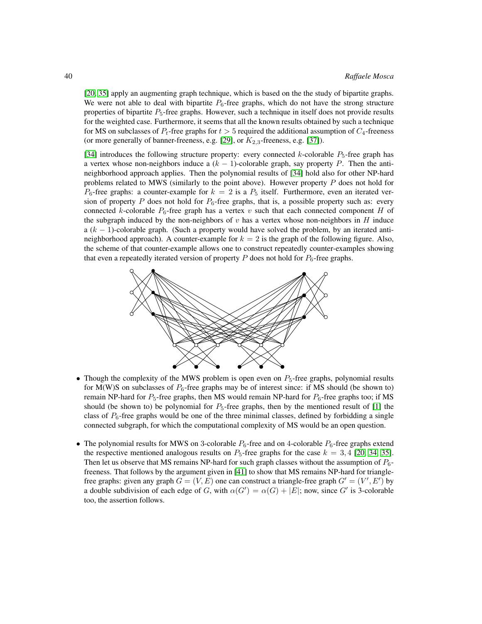[\[20,](#page-17-11) [35\]](#page-18-5) apply an augmenting graph technique, which is based on the the study of bipartite graphs. We were not able to deal with bipartite  $P_6$ -free graphs, which do not have the strong structure properties of bipartite P5-free graphs. However, such a technique in itself does not provide results for the weighted case. Furthermore, it seems that all the known results obtained by such a technique for MS on subclasses of  $P_t$ -free graphs for  $t > 5$  required the additional assumption of  $C_4$ -freeness (or more generally of banner-freeness, e.g. [\[29\]](#page-17-21), or  $K_{2,3}$ -freeness, e.g. [\[37\]](#page-18-10)).

[\[34\]](#page-18-6) introduces the following structure property: every connected k-colorable  $P_5$ -free graph has a vertex whose non-neighbors induce a  $(k - 1)$ -colorable graph, say property P. Then the antineighborhood approach applies. Then the polynomial results of [\[34\]](#page-18-6) hold also for other NP-hard problems related to MWS (similarly to the point above). However property  $P$  does not hold for  $P_6$ -free graphs: a counter-example for  $k = 2$  is a  $P_5$  itself. Furthermore, even an iterated version of property P does not hold for  $P_6$ -free graphs, that is, a possible property such as: every connected k-colorable  $P_6$ -free graph has a vertex v such that each connected component H of the subgraph induced by the non-neighbors of  $v$  has a vertex whose non-neighbors in  $H$  induce a  $(k - 1)$ -colorable graph. (Such a property would have solved the problem, by an iterated antineighborhood approach). A counter-example for  $k = 2$  is the graph of the following figure. Also, the scheme of that counter-example allows one to construct repeatedly counter-examples showing that even a repeatedly iterated version of property P does not hold for  $P_6$ -free graphs.



- Though the complexity of the MWS problem is open even on  $P_5$ -free graphs, polynomial results for M(W)S on subclasses of  $P_6$ -free graphs may be of interest since: if MS should (be shown to) remain NP-hard for  $P_5$ -free graphs, then MS would remain NP-hard for  $P_6$ -free graphs too; if MS should (be shown to) be polynomial for  $P_5$ -free graphs, then by the mentioned result of [\[1\]](#page-16-3) the class of  $P_6$ -free graphs would be one of the three minimal classes, defined by forbidding a single connected subgraph, for which the computational complexity of MS would be an open question.
- The polynomial results for MWS on 3-colorable  $P_6$ -free and on 4-colorable  $P_6$ -free graphs extend the respective mentioned analogous results on  $P_5$ -free graphs for the case  $k = 3, 4$  [\[20,](#page-17-11) [34,](#page-18-6) [35\]](#page-18-5). Then let us observe that MS remains NP-hard for such graph classes without the assumption of  $P_6$ freeness. That follows by the argument given in [\[41\]](#page-18-1) to show that MS remains NP-hard for trianglefree graphs: given any graph  $G = (V, E)$  one can construct a triangle-free graph  $G' = (V', E')$  by a double subdivision of each edge of G, with  $\alpha(G') = \alpha(G) + |E|$ ; now, since G' is 3-colorable too, the assertion follows.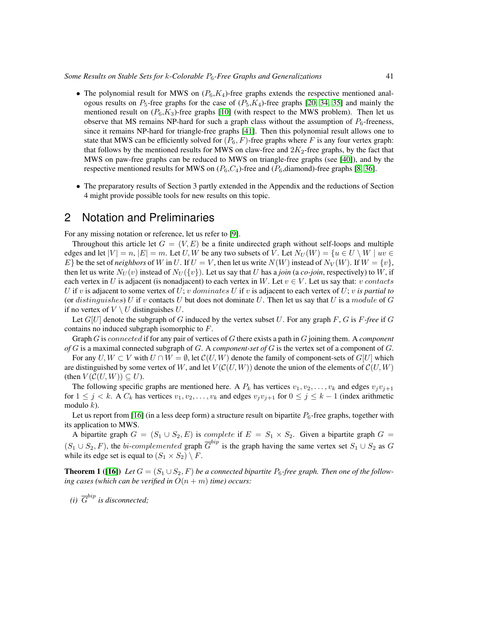*Some Results on Stable Sets for* k*-Colorable* P6*-Free Graphs and Generalizations* 41

- The polynomial result for MWS on  $(P_6, K_4)$ -free graphs extends the respective mentioned analogous results on  $P_5$ -free graphs for the case of  $(P_5, K_4)$ -free graphs [\[20,](#page-17-11) [34,](#page-18-6) [35\]](#page-18-5) and mainly the mentioned result on  $(P_6, K_3)$ -free graphs [\[10\]](#page-16-7) (with respect to the MWS problem). Then let us observe that MS remains NP-hard for such a graph class without the assumption of  $P_6$ -freeness, since it remains NP-hard for triangle-free graphs [\[41\]](#page-18-1). Then this polynomial result allows one to state that MWS can be efficiently solved for  $(P_6, F)$ -free graphs where F is any four vertex graph: that follows by the mentioned results for MWS on claw-free and  $2K_2$ -free graphs, by the fact that MWS on paw-free graphs can be reduced to MWS on triangle-free graphs (see [\[40\]](#page-18-11)), and by the respective mentioned results for MWS on  $(P_6, C_4)$ -free and  $(P_6,$ diamond)-free graphs [\[8,](#page-16-8) [36\]](#page-18-8).
- The preparatory results of Section 3 partly extended in the Appendix and the reductions of Section 4 might provide possible tools for new results on this topic.

### 2 Notation and Preliminaries

For any missing notation or reference, let us refer to [\[9\]](#page-16-10).

Throughout this article let  $G = (V, E)$  be a finite undirected graph without self-loops and multiple edges and let  $|V| = n$ ,  $|E| = m$ . Let U, W be any two subsets of V. Let  $N_U(W) = \{u \in U \setminus W \mid uv \in$  $E\}$  be the set of *neighbors* of W in U. If  $U = V$ , then let us write  $N(W)$  instead of  $N_V(W)$ . If  $W = \{v\}$ , then let us write  $N_U(v)$  instead of  $N_U({v})$ . Let us say that U has a *join* (a *co-join*, respectively) to W, if each vertex in U is adjacent (is nonadjacent) to each vertex in W. Let  $v \in V$ . Let us say that: v contacts U if v is adjacent to some vertex of U; v dominates U if v is adjacent to each vertex of U; v is partial to (or distinguishes) U if v contacts U but does not dominate U. Then let us say that U is a module of G if no vertex of  $V \setminus U$  distinguishes U.

Let  $G[U]$  denote the subgraph of G induced by the vertex subset U. For any graph  $F$ , G is  $F$ -free if G contains no induced subgraph isomorphic to F.

Graph G is connected if for any pair of vertices of G there exists a path in G joining them. A *component of* G is a maximal connected subgraph of G. A *component-set of* G is the vertex set of a component of G.

For any  $U, W \subset V$  with  $U \cap W = \emptyset$ , let  $\mathcal{C}(U, W)$  denote the family of component-sets of  $G[U]$  which are distinguished by some vertex of W, and let  $V(C(U, W))$  denote the union of the elements of  $C(U, W)$ (then  $V(C(U, W)) \subseteq U$ ).

The following specific graphs are mentioned here. A  $P_k$  has vertices  $v_1, v_2, \ldots, v_k$  and edges  $v_jv_{j+1}$ for  $1 \leq j < k$ . A  $C_k$  has vertices  $v_1, v_2, \ldots, v_k$  and edges  $v_jv_{j+1}$  for  $0 \leq j \leq k-1$  (index arithmetic modulo  $k$ ).

Let us report from [\[16\]](#page-17-13) (in a less deep form) a structure result on bipartite  $P_6$ -free graphs, together with its application to MWS.

A bipartite graph  $G = (S_1 \cup S_2, E)$  is *complete* if  $E = S_1 \times S_2$ . Given a bipartite graph  $G =$  $(S_1 \cup S_2, F)$ , the *bi-complemented* graph  $\overline{G}^{bip}$  is the graph having the same vertex set  $S_1 \cup S_2$  as G while its edge set is equal to  $(S_1 \times S_2) \setminus F$ .

<span id="page-4-0"></span>**Theorem 1** ([\[16\]](#page-17-13)) Let  $G = (S_1 \cup S_2, F)$  be a connected bipartite  $P_6$ -free graph. Then one of the follow*ing cases (which can be verified in*  $O(n + m)$  *time) occurs:* 

(*i*)  $\overline{G}^{bip}$  *is disconnected;*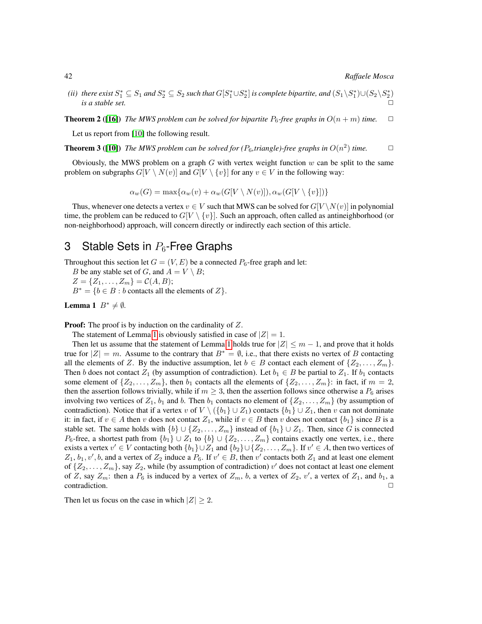(ii) there exist  $S_1^* \subseteq S_1$  and  $S_2^* \subseteq S_2$  such that  $G[S_1^* \cup S_2^*]$  is complete bipartite, and  $(S_1 \setminus S_1^*) \cup (S_2 \setminus S_2^*)$ *is a stable set.*  $\square$ 

<span id="page-5-2"></span>**Theorem 2** ([\[16\]](#page-17-13)) *The MWS problem can be solved for bipartite*  $P_6$ -free graphs in  $O(n+m)$  time.  $\Box$ 

Let us report from [\[10\]](#page-16-7) the following result.

<span id="page-5-3"></span>**Theorem 3** ([\[10\]](#page-16-7)) The MWS problem can be solved for ( $P_6$ , triangle)-free graphs in  $O(n^2)$  time.  $\Box$ 

Obviously, the MWS problem on a graph  $G$  with vertex weight function  $w$  can be split to the same problem on subgraphs  $G[V \setminus N(v)]$  and  $G[V \setminus \{v\}]$  for any  $v \in V$  in the following way:

 $\alpha_w(G) = \max{\alpha_w(v) + \alpha_w(G[V \setminus N(v)]), \alpha_w(G[V \setminus \{v\}])}$ 

Thus, whenever one detects a vertex  $v \in V$  such that MWS can be solved for  $G[V \setminus N(v)]$  in polynomial time, the problem can be reduced to  $G[V \setminus \{v\}]$ . Such an approach, often called as antineighborhood (or non-neighborhood) approach, will concern directly or indirectly each section of this article.

# 3 Stable Sets in  $P_6$ -Free Graphs

Throughout this section let  $G = (V, E)$  be a connected  $P_6$ -free graph and let:

*B* be any stable set of *G*, and  $A = V \setminus B$ ;

 $Z = \{Z_1, \ldots, Z_m\} = C(A, B);$ 

 $B^* = \{b \in B : b \text{ contacts all the elements of } Z\}.$ 

<span id="page-5-0"></span>**Lemma 1**  $B^* \neq \emptyset$ .

**Proof:** The proof is by induction on the cardinality of Z.

The statement of Lemma [1](#page-5-0) is obviously satisfied in case of  $|Z| = 1$ .

Then let us assume that the statement of Lemma [1](#page-5-0) holds true for  $|Z| \le m - 1$ , and prove that it holds true for  $|Z| = m$ . Assume to the contrary that  $B^* = \emptyset$ , i.e., that there exists no vertex of B contacting all the elements of Z. By the inductive assumption, let  $b \in B$  contact each element of  $\{Z_2, \ldots, Z_m\}$ . Then b does not contact  $Z_1$  (by assumption of contradiction). Let  $b_1 \in B$  be partial to  $Z_1$ . If  $b_1$  contacts some element of  $\{Z_2, \ldots, Z_m\}$ , then  $b_1$  contacts all the elements of  $\{Z_2, \ldots, Z_m\}$ : in fact, if  $m = 2$ , then the assertion follows trivially, while if  $m \geq 3$ , then the assertion follows since otherwise a  $P_6$  arises involving two vertices of  $Z_1$ ,  $b_1$  and b. Then  $b_1$  contacts no element of  $\{Z_2, \ldots, Z_m\}$  (by assumption of contradiction). Notice that if a vertex v of  $V \setminus (\{b_1\} \cup Z_1)$  contacts  $\{b_1\} \cup Z_1$ , then v can not dominate it: in fact, if  $v \in A$  then v does not contact  $Z_1$ , while if  $v \in B$  then v does not contact  $\{b_1\}$  since B is a stable set. The same holds with  $\{b\} \cup \{Z_2, \ldots, Z_m\}$  instead of  $\{b_1\} \cup Z_1$ . Then, since G is connected P<sub>6</sub>-free, a shortest path from  $\{b_1\} \cup Z_1$  to  $\{b\} \cup \{Z_2, \ldots, Z_m\}$  contains exactly one vertex, i.e., there exists a vertex  $v' \in V$  contacting both  $\{b_1\} \cup Z_1$  and  $\{b_2\} \cup \{Z_2, \ldots, Z_m\}$ . If  $v' \in A$ , then two vertices of  $Z_1, b_1, v', b$ , and a vertex of  $Z_2$  induce a  $P_6$ . If  $v' \in B$ , then  $v'$  contacts both  $Z_1$  and at least one element of  $\{Z_2, \ldots, Z_m\}$ , say  $Z_2$ , while (by assumption of contradiction)  $v'$  does not contact at least one element of Z, say  $Z_m$ : then a  $P_6$  is induced by a vertex of  $Z_m$ , b, a vertex of  $Z_2$ , v', a vertex of  $Z_1$ , and  $b_1$ , a contradiction.

<span id="page-5-1"></span>Then let us focus on the case in which  $|Z| \geq 2$ .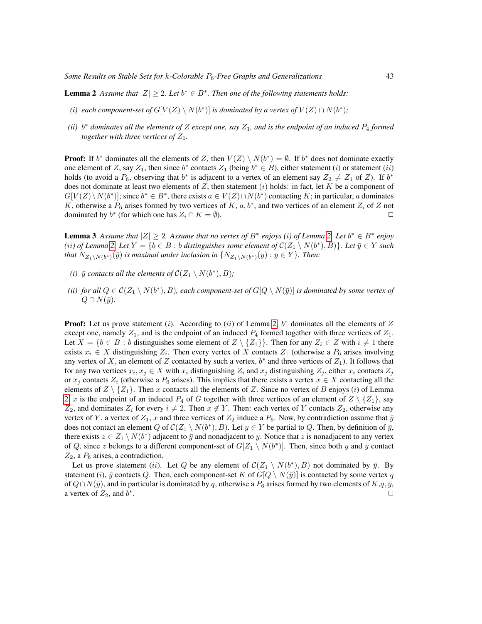**Lemma 2** Assume that  $|Z| \geq 2$ . Let  $b^* \in B^*$ . Then one of the following statements holds:

- *(i) each component-set of*  $G[V(Z) \setminus N(b^*)]$  *is dominated by a vertex of*  $V(Z) \cap N(b^*)$ ;
- $(iii)$   $b^*$  *dominates all the elements of Z except one, say*  $Z_1$ *, and is the endpoint of an induced*  $P_4$  *<i>formed together with three vertices of*  $Z_1$ *.*

**Proof:** If  $b^*$  dominates all the elements of Z, then  $V(Z) \setminus N(b^*) = \emptyset$ . If  $b^*$  does not dominate exactly one element of Z, say  $Z_1$ , then since  $b^*$  contacts  $Z_1$  (being  $b^* \in B$ ), either statement (i) or statement (ii) holds (to avoid a  $P_6$ , observing that  $b^*$  is adjacent to a vertex of an element say  $Z_2 \neq Z_1$  of  $Z$ ). If  $b^*$ does not dominate at least two elements of Z, then statement  $(i)$  holds: in fact, let K be a component of  $G[V(Z)\setminus N(b^*)]$ ; since  $b^* \in B^*$ , there exists  $a \in V(Z) \cap N(b^*)$  contacting K; in particular, a dominates K, otherwise a  $P_6$  arises formed by two vertices of K,  $a, b^*$ , and two vertices of an element  $Z_i$  of Z not dominated by  $b^*$  (for which one has  $Z_i \cap K = \emptyset$ ).

<span id="page-6-0"></span>**Lemma 3** Assume that  $|Z| \geq 2$ . Assume that no vertex of  $B^*$  enjoys (i) of Lemma [2.](#page-5-1) Let  $b^* \in B^*$  enjoy *(ii)* of Lemma [2.](#page-5-1) Let  $Y = \{b \in B : b \text{ distinguishes some element of } C(Z_1 \setminus N(b^*), B)\}$ . Let  $\bar{y} \in Y$  such that  $N_{Z_1\setminus N(b^*)}(\bar y)$  is maximal under inclusion in  $\{N_{Z_1\setminus N(b^*)}(y): y\in Y\}$ *. Then:* 

- *(i)*  $\bar{y}$  *contacts all the elements of*  $\mathcal{C}(Z_1 \setminus N(b^*), B)$ ;
- (*ii*) for all  $Q \in \mathcal{C}(Z_1 \setminus N(b^*), B)$ , each component-set of  $G[Q \setminus N(\bar{y})]$  is dominated by some vertex of  $Q \cap N(\bar{y})$ .

**Proof:** Let us prove statement (i). According to (ii) of Lemma [2,](#page-5-1)  $b^*$  dominates all the elements of Z except one, namely  $Z_1$ , and is the endpoint of an induced  $P_4$  formed together with three vertices of  $Z_1$ . Let  $X = \{b \in B : b$  distinguishes some element of  $Z \setminus \{Z_1\}$ . Then for any  $Z_i \in Z$  with  $i \neq 1$  there exists  $x_i \in X$  distinguishing  $Z_i$ . Then every vertex of X contacts  $Z_1$  (otherwise a  $P_6$  arises involving any vertex of X, an element of Z contacted by such a vertex,  $b^*$  and three vertices of  $Z_1$ ). It follows that for any two vertices  $x_i, x_j \in X$  with  $x_i$  distinguishing  $Z_i$  and  $x_j$  distinguishing  $Z_j$ , either  $x_i$  contacts  $Z_j$ or  $x_j$  contacts  $Z_i$  (otherwise a  $P_6$  arises). This implies that there exists a vertex  $x \in X$  contacting all the elements of  $Z \setminus \{Z_1\}$ . Then x contacts all the elements of Z. Since no vertex of B enjoys (i) of Lemma [2,](#page-5-1) x is the endpoint of an induced  $P_4$  of G together with three vertices of an element of  $Z \setminus \{Z_1\}$ , say  $Z_2$ , and dominates  $Z_i$  for every  $i \neq 2$ . Then  $x \notin Y$ . Then: each vertex of Y contacts  $Z_2$ , otherwise any vertex of Y, a vertex of  $Z_1$ , x and three vertices of  $Z_2$  induce a  $P_6$ . Now, by contradiction assume that  $\bar{y}$ does not contact an element Q of  $\mathcal{C}(Z_1 \setminus N(b^*), B)$ . Let  $y \in Y$  be partial to Q. Then, by definition of  $\bar{y}$ , there exists  $z \in Z_1 \setminus N(b^*)$  adjacent to  $\bar{y}$  and nonadjacent to y. Notice that z is nonadjacent to any vertex of Q, since z belongs to a different component-set of  $G[Z_1 \setminus N(b^*)]$ . Then, since both y and  $\bar{y}$  contact  $Z_2$ , a  $P_6$  arises, a contradiction.

Let us prove statement (*ii*). Let Q be any element of  $\mathcal{C}(Z_1 \setminus N(b^*), B)$  not dominated by  $\bar{y}$ . By statement (i),  $\bar{y}$  contacts Q. Then, each component-set K of  $G[Q \setminus N(\bar{y})]$  is contacted by some vertex q of  $Q \cap N(\bar{y})$ , and in particular is dominated by q, otherwise a  $P_6$  arises formed by two elements of  $K,q,\bar{y},$ a vertex of  $Z_2$ , and  $b^*$ . The contract of the contract of the contract of the contract of the contract of the contract of the contract of the contract of the contract of the contract of the contract of the contract of the contract of the contrac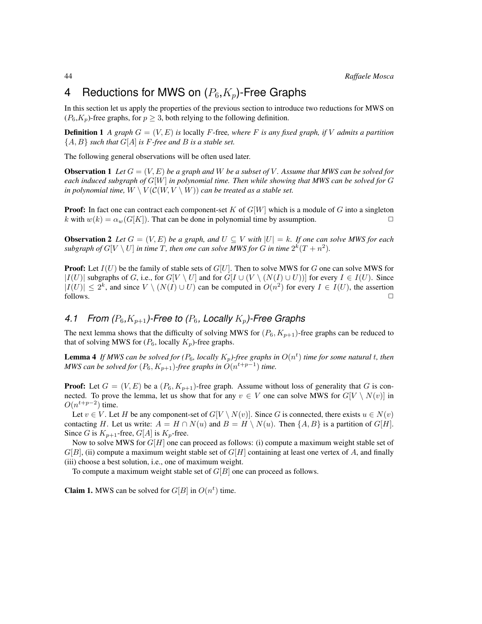# 4 Reductions for MWS on  $(P_6, K_p)$ -Free Graphs

In this section let us apply the properties of the previous section to introduce two reductions for MWS on  $(P_6, K_p)$ -free graphs, for  $p \geq 3$ , both relying to the following definition.

**Definition 1** *A graph*  $G = (V, E)$  *is* locally *F*-free, where *F is any fixed graph, if V admits a partition*  ${A, B}$  *such that*  $G[A]$  *is*  $F$ *-free and*  $B$  *is a stable set.* 

The following general observations will be often used later.

<span id="page-7-0"></span>**Observation 1** Let  $G = (V, E)$  be a graph and W be a subset of V. Assume that MWS can be solved for *each induced subgraph of* G[W] *in polynomial time. Then while showing that MWS can be solved for* G *in polynomial time,*  $W \setminus V(C(W, V \setminus W))$  *can be treated as a stable set.* 

**Proof:** In fact one can contract each component-set K of  $G[W]$  which is a module of G into a singleton k with  $w(k) = \alpha_w(G[K])$ . That can be done in polynomial time by assumption.

<span id="page-7-2"></span>**Observation 2** Let  $G = (V, E)$  be a graph, and  $U \subseteq V$  with  $|U| = k$ . If one can solve MWS for each subgraph of  $G[V \setminus U]$  in time T, then one can solve MWS for G in time  $2^k(T + n^2)$ .

**Proof:** Let  $I(U)$  be the family of stable sets of  $G[U]$ . Then to solve MWS for G one can solve MWS for  $|I(U)|$  subgraphs of G, i.e., for  $G[V \setminus U]$  and for  $G[I \cup (V \setminus (N(I) \cup U))]$  for every  $I \in I(U)$ . Since  $|I(U)| \leq 2^k$ , and since  $V \setminus (N(I) \cup U)$  can be computed in  $O(n^2)$  for every  $I \in I(U)$ , the assertion follows.  $\Box$ 

### 4.1 From  $(P_6, K_{p+1})$ -Free to  $(P_6,$  Locally  $K_p$ )-Free Graphs

The next lemma shows that the difficulty of solving MWS for  $(P_6, K_{p+1})$ -free graphs can be reduced to that of solving MWS for  $(P_6,$  locally  $K_p$ )-free graphs.

<span id="page-7-1"></span>**Lemma 4** If MWS can be solved for  $(P_6$ , locally  $K_p$ )-free graphs in  $O(n^t)$  time for some natural t, then *MWS can be solved for*  $(P_6, K_{p+1})$ -free graphs in  $O(n^{t+p-1})$  time.

**Proof:** Let  $G = (V, E)$  be a  $(P_6, K_{p+1})$ -free graph. Assume without loss of generality that G is connected. To prove the lemma, let us show that for any  $v \in V$  one can solve MWS for  $G[V \setminus N(v)]$  in  $O(n^{t+p-2})$  time.

Let  $v \in V$ . Let H be any component-set of  $G[V \setminus N(v)]$ . Since G is connected, there exists  $u \in N(v)$ contacting H. Let us write:  $A = H \cap N(u)$  and  $B = H \setminus N(u)$ . Then  $\{A, B\}$  is a partition of  $G[H]$ . Since G is  $K_{p+1}$ -free,  $G[A]$  is  $K_p$ -free.

Now to solve MWS for  $G[H]$  one can proceed as follows: (i) compute a maximum weight stable set of  $G[B]$ , (ii) compute a maximum weight stable set of  $G[H]$  containing at least one vertex of A, and finally (iii) choose a best solution, i.e., one of maximum weight.

To compute a maximum weight stable set of  $G[B]$  one can proceed as follows.

**Claim 1.** MWS can be solved for  $G[B]$  in  $O(n^t)$  time.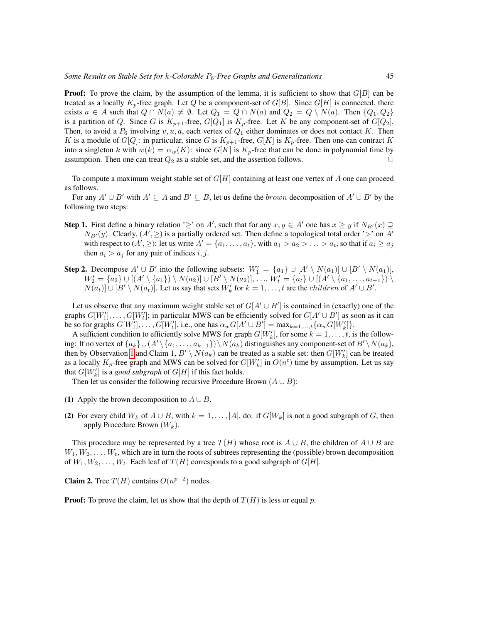**Proof:** To prove the claim, by the assumption of the lemma, it is sufficient to show that  $G[B]$  can be treated as a locally  $K_p$ -free graph. Let Q be a component-set of  $G[B]$ . Since  $G[H]$  is connected, there exists  $a \in A$  such that  $Q \cap N(a) \neq \emptyset$ . Let  $Q_1 = Q \cap N(a)$  and  $Q_2 = Q \setminus N(a)$ . Then  $\{Q_1, Q_2\}$ is a partition of Q. Since G is  $K_{p+1}$ -free,  $G[Q_1]$  is  $K_p$ -free. Let K be any component-set of  $G[Q_2]$ . Then, to avoid a  $P_6$  involving v, u, a, each vertex of  $Q_1$  either dominates or does not contact K. Then K is a module of  $G[Q]$ : in particular, since G is  $K_{p+1}$ -free,  $G[K]$  is  $K_p$ -free. Then one can contract K into a singleton k with  $w(k) = \alpha_w(K)$ : since  $G[K]$  is  $K_p$ -free that can be done in polynomial time by assumption. Then one can treat  $Q_2$  as a stable set, and the assertion follows.

To compute a maximum weight stable set of  $G[H]$  containing at least one vertex of A one can proceed as follows.

For any  $A' \cup B'$  with  $A' \subseteq A$  and  $B' \subseteq B$ , let us define the *brown* decomposition of  $A' \cup B'$  by the following two steps:

- **Step 1.** First define a binary relation ' $\geq$ ' on A', such that for any  $x, y \in A'$  one has  $x \geq y$  if  $N_{B'}(x) \supseteq Y$  $N_{B'}(y)$ . Clearly,  $(A', \geq)$  is a partially ordered set. Then define a topological total order '>' on A' with respect to  $(A', \geq)$ : let us write  $A' = \{a_1, \ldots, a_t\}$ , with  $a_1 > a_2 > \ldots > a_t$ , so that if  $a_i \geq a_j$ then  $a_i > a_j$  for any pair of indices i, j.
- **Step 2.** Decompose  $A' \cup B'$  into the following subsets:  $W'_1 = \{a_1\} \cup [A' \setminus N(a_1)] \cup [B' \setminus N(a_1)],$  $W_2' = \{a_2\} \cup [(A' \setminus \{a_1\}) \setminus N(a_2)] \cup [B' \setminus N(a_2)], \ldots, W_t' = \{a_t\} \cup [(A' \setminus \{a_1, \ldots, a_{t-1}\}) \setminus N(a_2)]$  $N(a_t)] \cup [B' \setminus N(a_t)]$ . Let us say that sets  $W'_k$  for  $k = 1, ..., t$  are the *children* of  $A' \cup B'$ .

Let us observe that any maximum weight stable set of  $G[A' \cup B']$  is contained in (exactly) one of the graphs  $G[W'_1], \ldots, G[W'_t]$ ; in particular MWS can be efficiently solved for  $G[A' \cup B']$  as soon as it can be so for graphs  $G[W'_1], \ldots, G[W'_t]$ , i.e., one has  $\alpha_w G[A' \cup B'] = \max_{k=1,\ldots,t} {\alpha_w G[W'_k]}$ .

A sufficient condition to efficiently solve MWS for graph  $G[W_k']$ , for some  $k = 1, \ldots, t$ , is the following: If no vertex of  $\{a_k\}\cup (A'\setminus\{a_1,\ldots,a_{k-1}\})\setminus N(a_k)$  distinguishes any component-set of  $B'\setminus N(a_k)$ , then by Observation [1](#page-7-0) and Claim 1,  $B' \setminus N(a_k)$  can be treated as a stable set: then  $G[W'_k]$  can be treated as a locally  $K_p$ -free graph and MWS can be solved for  $G[W'_k]$  in  $O(n^t)$  time by assumption. Let us say that  $G[W'_k]$  is a *good subgraph* of  $G[H]$  if this fact holds.

Then let us consider the following recursive Procedure Brown  $(A \cup B)$ :

- (1) Apply the brown decomposition to  $A \cup B$ .
- (2) For every child  $W_k$  of  $A \cup B$ , with  $k = 1, \ldots, |A|$ , do: if  $G[W_k]$  is not a good subgraph of G, then apply Procedure Brown  $(W_k)$ .

This procedure may be represented by a tree  $T(H)$  whose root is  $A \cup B$ , the children of  $A \cup B$  are  $W_1, W_2, \ldots, W_t$ , which are in turn the roots of subtrees representing the (possible) brown decomposition of  $W_1, W_2, \ldots, W_t$ . Each leaf of  $T(H)$  corresponds to a good subgraph of  $G[H]$ .

**Claim 2.** Tree  $T(H)$  contains  $O(n^{p-2})$  nodes.

**Proof:** To prove the claim, let us show that the depth of  $T(H)$  is less or equal p.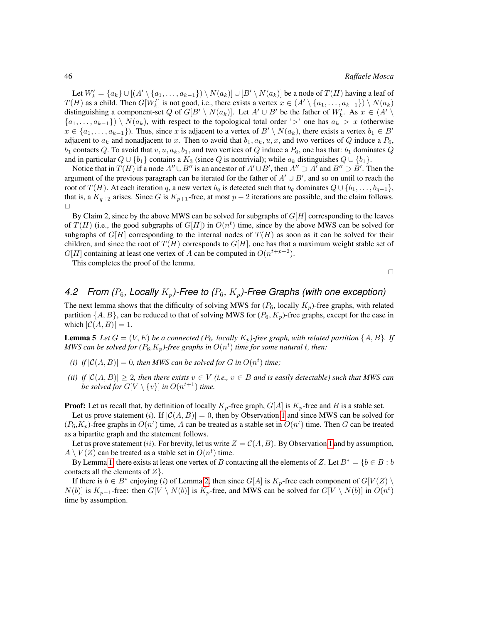Let  $W'_k = \{a_k\} \cup [(A' \setminus \{a_1, \ldots, a_{k-1}\}) \setminus N(a_k)] \cup [B' \setminus N(a_k)]$  be a node of  $T(H)$  having a leaf of  $T(H)$  as a child. Then  $G[W'_k]$  is not good, i.e., there exists a vertex  $x \in (A' \setminus \{a_1, \ldots, a_{k-1}\}) \setminus N(a_k)$ distinguishing a component-set Q of  $G[B' \setminus N(a_k)]$ . Let  $A' \cup B'$  be the father of  $W'_{k}$ . As  $x \in (A' \setminus A')$  $\{a_1, \ldots, a_{k-1}\}\$  \  $N(a_k)$ , with respect to the topological total order '>' one has  $a_k > x$  (otherwise  $x \in \{a_1, \ldots, a_{k-1}\}\.$  Thus, since x is adjacent to a vertex of  $B' \setminus N(a_k)$ , there exists a vertex  $b_1 \in B'$ adjacent to  $a_k$  and nonadjacent to x. Then to avoid that  $b_1, a_k, u, x$ , and two vertices of Q induce a  $P_6$ ,  $b_1$  contacts Q. To avoid that  $v, u, a_k, b_1$ , and two vertices of Q induce a  $P_6$ , one has that:  $b_1$  dominates Q and in particular  $Q \cup \{b_1\}$  contains a  $K_3$  (since  $Q$  is nontrivial); while  $a_k$  distinguishes  $Q \cup \{b_1\}$ .

Notice that in  $T(H)$  if a node  $A'' \cup B''$  is an ancestor of  $A' \cup B'$ , then  $A'' \supset A'$  and  $B'' \supset B'$ . Then the argument of the previous paragraph can be iterated for the father of  $A' \cup B'$ , and so on until to reach the root of  $T(H)$ . At each iteration q, a new vertex  $b_q$  is detected such that  $b_q$  dominates  $Q \cup \{b_1, \ldots, b_{q-1}\},$ that is, a  $K_{q+2}$  arises. Since G is  $K_{p+1}$ -free, at most  $p-2$  iterations are possible, and the claim follows.  $\Box$ 

By Claim 2, since by the above MWS can be solved for subgraphs of  $G[H]$  corresponding to the leaves of  $T(H)$  (i.e., the good subgraphs of  $G[H]$ ) in  $O(n^t)$  time, since by the above MWS can be solved for subgraphs of  $G[H]$  corresponding to the internal nodes of  $T(H)$  as soon as it can be solved for their children, and since the root of  $T(H)$  corresponds to  $G[H]$ , one has that a maximum weight stable set of  $G[H]$  containing at least one vertex of A can be computed in  $O(n^{t+p-2})$ .

This completes the proof of the lemma.

 $\Box$ 

### *4.2 From (P<sub>6</sub>, Locally K<sub>p</sub>)-Free to (P<sub>6</sub>, K<sub>p</sub>)-Free Graphs (with one exception)*

The next lemma shows that the difficulty of solving MWS for  $(P_6,$  locally  $K_p$ )-free graphs, with related partition  $\{A, B\}$ , can be reduced to that of solving MWS for  $(P_6, K_p)$ -free graphs, except for the case in which  $|C(A, B)| = 1$ .

<span id="page-9-0"></span>**Lemma 5** Let  $G = (V, E)$  be a connected ( $P_6$ , locally  $K_p$ )-free graph, with related partition  $\{A, B\}$ . If MWS can be solved for ( $P_6$ , $K_p$ )-free graphs in  $O(n^t)$  time for some natural  $t$ , then:

- (*i*) *if*  $|C(A, B)| = 0$ , then MWS can be solved for G in  $O(n^t)$  time;
- *(ii)* if  $|C(A, B)| \geq 2$ , then there exists  $v \in V$  *(i.e.,*  $v \in B$  *and is easily detectable) such that MWS can be solved for*  $G[V \setminus \{v\}]$  *in*  $O(n^{t+1})$  *time.*

**Proof:** Let us recall that, by definition of locally  $K_p$ -free graph,  $G[A]$  is  $K_p$ -free and B is a stable set.

Let us prove statement (i). If  $|C(A, B)| = 0$ , then by Observation [1](#page-7-0) and since MWS can be solved for  $(P_6, K_p)$ -free graphs in  $O(n^t)$  time, A can be treated as a stable set in  $O(n^t)$  time. Then G can be treated as a bipartite graph and the statement follows.

Let us prove statement (ii). For brevity, let us write  $Z = C(A, B)$ . By Observation [1](#page-7-0) and by assumption,  $A \setminus V(Z)$  can be treated as a stable set in  $O(n^t)$  time.

By Lemma [1,](#page-5-0) there exists at least one vertex of B contacting all the elements of Z. Let  $B^* = \{b \in B : b$ contacts all the elements of  $Z$  }.

If there is  $b \in B^*$  enjoying (i) of Lemma [2,](#page-5-1) then since  $G[A]$  is  $K_p$ -free each component of  $G[V(Z) \setminus B]$  $N(b)$ ] is  $K_{p-1}$ -free: then  $G[V \setminus N(b)]$  is  $K_p$ -free, and MWS can be solved for  $G[V \setminus N(b)]$  in  $O(n^t)$ time by assumption.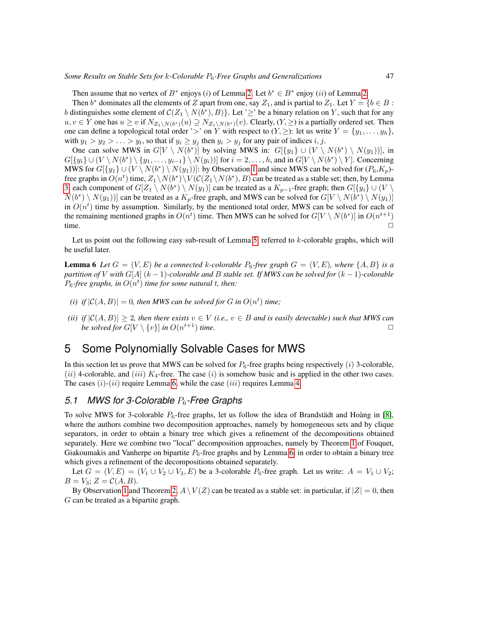Then assume that no vertex of  $B^*$  enjoys (i) of Lemma [2.](#page-5-1) Let  $b^* \in B^*$  enjoy (ii) of Lemma 2.

Then  $b^*$  dominates all the elements of Z apart from one, say  $Z_1$ , and is partial to  $Z_1$ . Let  $Y = \{b \in B :$ b distinguishes some element of  $\mathcal{C}(Z_1 \setminus N(b^*), B)$ . Let ' $\geq$ ' be a binary relation on Y, such that for any  $u, v \in Y$  one has  $u \ge v$  if  $N_{Z_1 \setminus N(b^*)}(u) \supseteq N_{Z_1 \setminus N(b^*)}(v)$ . Clearly,  $(Y, \ge)$  is a partially ordered set. Then one can define a topological total order '>' on Y with respect to  $(Y, \geq)$ : let us write  $Y = \{y_1, \ldots, y_h\}$ , with  $y_1 > y_2 > \ldots > y_t$ , so that if  $y_i \ge y_j$  then  $y_i > y_j$  for any pair of indices  $i, j$ .

One can solve MWS in  $G[V \setminus N(b^*)]$  by solving MWS in:  $G[\lbrace y_1 \rbrace \cup (V \setminus N(b^*) \setminus N(y_1))]$ , in  $G[\{y_i\} \cup (V \setminus N(b^*) \setminus \{y_1, \ldots, y_{i-1}\} \setminus N(y_i))]$  for  $i = 2, \ldots, h$ , and in  $G[V \setminus N(b^*) \setminus Y]$ . Concerning MWS for  $G[\{y_1\} \cup (V \setminus N(b^*) \setminus N(y_1))]$ : by Observation [1](#page-7-0) and since MWS can be solved for  $(P_6, K_p)$ free graphs in  $O(n^t)$  time,  $Z_1 \setminus N(b^*) \setminus V(\mathcal{C}(Z_1 \setminus N(b^*), B)$  can be treated as a stable set; then, by Lemma [3,](#page-6-0) each component of  $G[Z_1 \setminus N(b^*) \setminus N(y_1)]$  can be treated as a  $K_{p-1}$ -free graph; then  $G[\{y_i\} \cup (V \setminus T])$  $N(b^*) \setminus N(y_1))$  can be treated as a  $K_p$ -free graph, and MWS can be solved for  $G[V \setminus N(b^*) \setminus N(y_1)]$ in  $O(n^t)$  time by assumption. Similarly, by the mentioned total order, MWS can be solved for each of the remaining mentioned graphs in  $O(n^t)$  time. Then MWS can be solved for  $G[V \setminus N(b^*)]$  in  $O(n^{t+1})$ time.  $\Box$ 

Let us point out the following easy sub-result of Lemma [5,](#page-9-0) referred to k-colorable graphs, which will be useful later.

<span id="page-10-0"></span>**Lemma 6** Let  $G = (V, E)$  be a connected k-colorable  $P_6$ -free graph  $G = (V, E)$ , where  $\{A, B\}$  is a *partition of* V *with* G[A] (k − 1)*-colorable and* B *stable set. If MWS can be solved for* (k − 1)*-colorable*  $P_6$ -free graphs, in  $O(n^t)$  time for some natural t, then:

- (*i*) *if*  $|C(A, B)| = 0$ , then MWS can be solved for G in  $O(n^t)$  time;
- *(ii)* if  $|C(A, B)| > 2$ , then there exists  $v \in V$  *(i.e.,*  $v \in B$  *and is easily detectable) such that MWS can be solved for*  $G[V \setminus \{v\}]$  *in*  $O(n^{t+1})$  *time.*  $\Box$

# 5 Some Polynomially Solvable Cases for MWS

In this section let us prove that MWS can be solved for  $P_6$ -free graphs being respectively (i) 3-colorable, (ii) 4-colorable, and (iii)  $K_4$ -free. The case (i) is somehow basic and is applied in the other two cases. The cases  $(i)-(ii)$  require Lemma [6,](#page-10-0) while the case  $(iii)$  requires Lemma [4.](#page-7-1)

### *5.1 MWS for 3-Colorable* P6*-Free Graphs*

To solve MWS for 3-colorable  $P_6$ -free graphs, let us follow the idea of Brandstädt and Hoàng in [\[8\]](#page-16-8), where the authors combine two decomposition approaches, namely by homogeneous sets and by clique separators, in order to obtain a binary tree which gives a refinement of the decompositions obtained separately. Here we combine two "local" decomposition approaches, namely by Theorem [1](#page-4-0) of Fouquet, Giakoumakis and Vanherpe on bipartite  $P_6$ -free graphs and by Lemma [6,](#page-10-0) in order to obtain a binary tree which gives a refinement of the decompositions obtained separately.

Let  $G = (V, E) = (V_1 \cup V_2 \cup V_3, E)$  be a 3-colorable  $P_6$ -free graph. Let us write:  $A = V_1 \cup V_2$ ;  $B = V_3$ ;  $Z = C(A, B)$ .

By Observation [1](#page-7-0) and Theorem [2,](#page-5-2)  $A \setminus V(Z)$  can be treated as a stable set: in particular, if  $|Z| = 0$ , then G can be treated as a bipartite graph.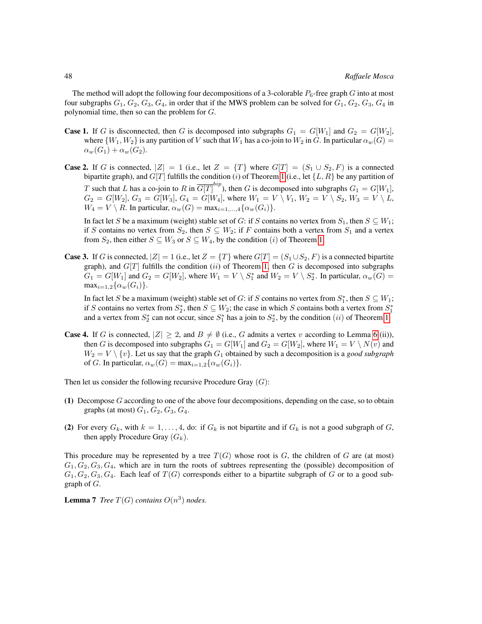The method will adopt the following four decompositions of a 3-colorable  $P_6$ -free graph G into at most four subgraphs  $G_1, G_2, G_3, G_4$ , in order that if the MWS problem can be solved for  $G_1, G_2, G_3, G_4$  in polynomial time, then so can the problem for G.

- **Case 1.** If G is disconnected, then G is decomposed into subgraphs  $G_1 = G[W_1]$  and  $G_2 = G[W_2]$ , where  $\{W_1, W_2\}$  is any partition of V such that  $W_1$  has a co-join to  $W_2$  in G. In particular  $\alpha_w(G)$  =  $\alpha_w(G_1) + \alpha_w(G_2).$
- **Case 2.** If G is connected,  $|Z| = 1$  (i.e., let  $Z = \{T\}$  where  $G[T] = (S_1 \cup S_2, F)$  is a connected bipartite graph), and  $G[T]$  fulfills the condition (i) of Theorem [1](#page-4-0) (i.e., let  $\{L, R\}$  be any partition of T such that L has a co-join to R in  $\overline{G[T]}^{bip}$ ), then G is decomposed into subgraphs  $G_1 = G[W_1]$ ,  $G_2 = G[W_2], G_3 = G[W_3], G_4 = G[W_4],$  where  $W_1 = V \setminus V_1, W_2 = V \setminus S_2, W_3 = V \setminus L$ ,  $W_4 = V \setminus R$ . In particular,  $\alpha_w(G) = \max_{i=1,\dots,4} {\alpha_w(G_i)}$ .

In fact let S be a maximum (weight) stable set of G: if S contains no vertex from  $S_1$ , then  $S \subseteq W_1$ ; if S contains no vertex from  $S_2$ , then  $S \subseteq W_2$ ; if F contains both a vertex from  $S_1$  and a vertex from  $S_2$ , then either  $S \subseteq W_3$  or  $S \subseteq W_4$ , by the condition (i) of Theorem [1.](#page-4-0)

**Case 3.** If G is connected,  $|Z| = 1$  (i.e., let  $Z = \{T\}$  where  $G[T] = (S_1 \cup S_2, F)$  is a connected bipartite graph), and  $G[T]$  fulfills the condition (ii) of Theorem [1,](#page-4-0) then G is decomposed into subgraphs  $G_1 = G[W_1]$  and  $G_2 = G[W_2]$ , where  $W_1 = V \setminus S_1^*$  and  $W_2 = V \setminus S_2^*$ . In particular,  $\alpha_w(G)$  =  $\max_{i=1,2}\{\alpha_w(G_i)\}.$ 

In fact let S be a maximum (weight) stable set of G: if S contains no vertex from  $S_1^*$ , then  $S \subseteq W_1$ ; if S contains no vertex from  $S_2^*$ , then  $S \subseteq W_2$ ; the case in which S contains both a vertex from  $S_1^*$ and a vertex from  $S_2^*$  can not occur, since  $S_1^*$  has a join to  $S_2^*$ , by the condition  $(ii)$  of Theorem [1.](#page-4-0)

**Case 4.** If G is connected,  $|Z| \geq 2$ , and  $B \neq \emptyset$  (i.e., G admits a vertex v according to Lemma [6](#page-10-0) (ii)), then G is decomposed into subgraphs  $G_1 = G[W_1]$  and  $G_2 = G[W_2]$ , where  $W_1 = V \setminus N(v)$  and  $W_2 = V \setminus \{v\}$ . Let us say that the graph  $G_1$  obtained by such a decomposition is a *good subgraph* of G. In particular,  $\alpha_w(G) = \max_{i=1,2} {\alpha_w(G_i)}$ .

Then let us consider the following recursive Procedure Gray  $(G)$ :

- (1) Decompose G according to one of the above four decompositions, depending on the case, so to obtain graphs (at most)  $G_1$ ,  $G_2$ ,  $G_3$ ,  $G_4$ .
- (2) For every  $G_k$ , with  $k = 1, \ldots, 4$ , do: if  $G_k$  is not bipartite and if  $G_k$  is not a good subgraph of  $G$ , then apply Procedure Gray  $(G_k)$ .

This procedure may be represented by a tree  $T(G)$  whose root is G, the children of G are (at most)  $G_1, G_2, G_3, G_4$ , which are in turn the roots of subtrees representing the (possible) decomposition of  $G_1, G_2, G_3, G_4$ . Each leaf of  $T(G)$  corresponds either to a bipartite subgraph of G or to a good subgraph of  $G$ .

<span id="page-11-0"></span>**Lemma 7** *Tree*  $T(G)$  *contains*  $O(n^3)$  *nodes.*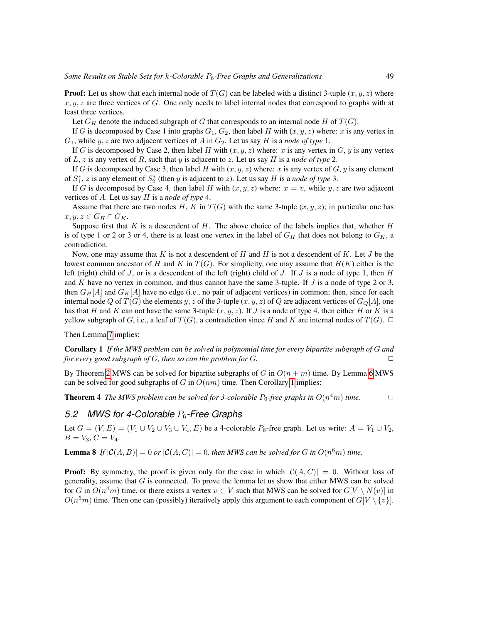**Proof:** Let us show that each internal node of  $T(G)$  can be labeled with a distinct 3-tuple  $(x, y, z)$  where  $x, y, z$  are three vertices of G. One only needs to label internal nodes that correspond to graphs with at least three vertices.

Let  $G_H$  denote the induced subgraph of G that corresponds to an internal node H of  $T(G)$ .

If G is decomposed by Case 1 into graphs  $G_1, G_2$ , then label H with  $(x, y, z)$  where: x is any vertex in  $G_1$ , while y, z are two adjacent vertices of A in  $G_2$ . Let us say H is a *node of type* 1.

If G is decomposed by Case 2, then label H with  $(x, y, z)$  where: x is any vertex in G, y is any vertex of L, z is any vertex of R, such that y is adjacent to z. Let us say H is a *node of type* 2.

If G is decomposed by Case 3, then label H with  $(x, y, z)$  where: x is any vertex of G, y is any element of  $S_1^*$ , z is any element of  $S_2^*$  (then y is adjacent to z). Let us say H is a *node of type* 3.

If G is decomposed by Case 4, then label H with  $(x, y, z)$  where:  $x = v$ , while y, z are two adjacent vertices of A. Let us say H is a *node of type* 4.

Assume that there are two nodes H, K in  $T(G)$  with the same 3-tuple  $(x, y, z)$ ; in particular one has  $x, y, z \in G_H \cap G_K$ .

Suppose first that  $K$  is a descendent of  $H$ . The above choice of the labels implies that, whether  $H$ is of type 1 or 2 or 3 or 4, there is at least one vertex in the label of  $G_H$  that does not belong to  $G_K$ , a contradiction.

Now, one may assume that K is not a descendent of H and H is not a descendent of K. Let  $J$  be the lowest common ancestor of H and K in  $T(G)$ . For simplicity, one may assume that  $H(K)$  either is the left (right) child of  $J$ , or is a descendent of the left (right) child of  $J$ . If  $J$  is a node of type 1, then  $H$ and K have no vertex in common, and thus cannot have the same 3-tuple. If  $J$  is a node of type 2 or 3, then  $G_H[A]$  and  $G_K[A]$  have no edge (i.e., no pair of adjacent vertices) in common; then, since for each internal node Q of  $T(G)$  the elements y, z of the 3-tuple  $(x, y, z)$  of Q are adjacent vertices of  $G_Q[A]$ , one has that H and K can not have the same 3-tuple  $(x, y, z)$ . If J is a node of type 4, then either H or K is a yellow subgraph of G, i.e., a leaf of  $T(G)$ , a contradiction since H and K are internal nodes of  $T(G)$ .  $\Box$ 

<span id="page-12-0"></span>Then Lemma [7](#page-11-0) implies:

Corollary 1 *If the MWS problem can be solved in polynomial time for every bipartite subgraph of* G *and for every good subgraph of G, then so can the problem for G.*  $\Box$ 

By Theorem [2](#page-5-2) MWS can be solved for bipartite subgraphs of G in  $O(n + m)$  time. By Lemma [6](#page-10-0) MWS can be solved for good subgraphs of G in  $O(nm)$  time. Then Corollary [1](#page-12-0) implies:

<span id="page-12-1"></span>**Theorem 4** The MWS problem can be solved for 3-colorable  $P_6$ -free graphs in  $O(n^4m)$  time.  $\Box$ 

#### *5.2 MWS for 4-Colorable* P6*-Free Graphs*

Let  $G = (V, E) = (V_1 \cup V_2 \cup V_3 \cup V_4, E)$  be a 4-colorable  $P_6$ -free graph. Let us write:  $A = V_1 \cup V_2$ ,  $B = V_3, C = V_4.$ 

<span id="page-12-2"></span>**Lemma 8** If  $|\mathcal{C}(A, B)| = 0$  or  $|\mathcal{C}(A, C)| = 0$ , then MWS can be solved for G in  $O(n^6 m)$  time.

**Proof:** By symmetry, the proof is given only for the case in which  $|\mathcal{C}(A, C)| = 0$ . Without loss of generality, assume that  $G$  is connected. To prove the lemma let us show that either MWS can be solved for G in  $O(n^4m)$  time, or there exists a vertex  $v \in V$  such that MWS can be solved for  $G[V \setminus N(v)]$  in  $O(n^5m)$  time. Then one can (possibly) iteratively apply this argument to each component of  $G[V \setminus \{v\}]$ .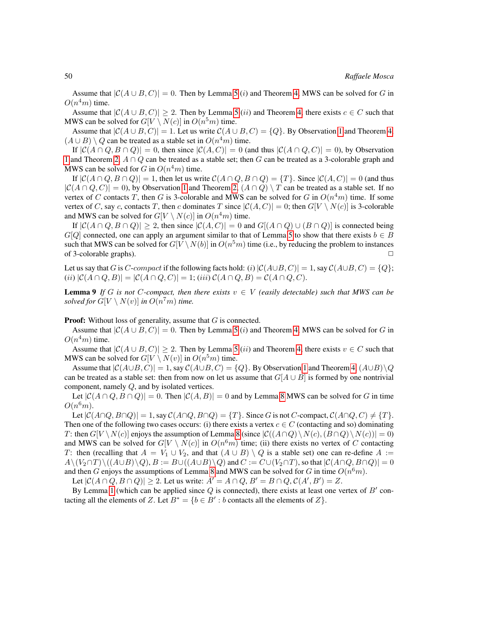Assume that  $|C(A \cup B, C)| = 0$ . Then by Lemma [5](#page-9-0) (i) and Theorem [4,](#page-12-1) MWS can be solved for G in  $O(n^4m)$  time.

Assume that  $|C(A \cup B, C)| \geq 2$ . Then by Lemma [5](#page-9-0) (*ii*) and Theorem [4,](#page-12-1) there exists  $c \in C$  such that MWS can be solved for  $G[V \setminus N(c)]$  in  $O(n^5m)$  time.

Assume that  $|C(A \cup B, C)| = 1$  $|C(A \cup B, C)| = 1$ . Let us write  $C(A \cup B, C) = \{Q\}$ . By Observation 1 and Theorem [4,](#page-12-1)  $(A \cup B) \setminus Q$  can be treated as a stable set in  $O(n^4m)$  time.

If  $|\mathcal{C}(A \cap Q, B \cap Q)| = 0$ , then since  $|\mathcal{C}(A, C)| = 0$  (and thus  $|\mathcal{C}(A \cap Q, C)| = 0$ ), by Observation [1](#page-7-0) and Theorem [2,](#page-5-2)  $A \cap Q$  can be treated as a stable set; then G can be treated as a 3-colorable graph and MWS can be solved for G in  $O(n^4m)$  time.

If  $|\mathcal{C}(A \cap Q, B \cap Q)| = 1$ , then let us write  $\mathcal{C}(A \cap Q, B \cap Q) = \{T\}$ . Since  $|\mathcal{C}(A, C)| = 0$  (and thus  $|C(A \cap Q, C)| = 0$ , by Observation [1](#page-7-0) and Theorem [2,](#page-5-2)  $(A \cap Q) \setminus T$  can be treated as a stable set. If no vertex of C contacts T, then G is 3-colorable and MWS can be solved for G in  $O(n^4m)$  time. If some vertex of C, say c, contacts T, then c dominates T since  $|C(A, C)| = 0$ ; then  $G[V \setminus N(c)]$  is 3-colorable and MWS can be solved for  $G[V \setminus N(c)]$  in  $O(n^4m)$  time.

If  $|\mathcal{C}(A \cap Q, B \cap Q)| \geq 2$ , then since  $|\mathcal{C}(A, C)| = 0$  and  $G[(A \cap Q) \cup (B \cap Q)]$  is connected being  $G[Q]$  connected, one can apply an argument similar to that of Lemma [5](#page-9-0) to show that there exists  $b \in B$ such that MWS can be solved for  $G[V \setminus N(b)]$  in  $O(n^5m)$  time (i.e., by reducing the problem to instances of 3-colorable graphs).

Let us say that G is C-compact if the following facts hold: (i)  $|C(A \cup B, C)| = 1$ , say  $C(A \cup B, C) = \{Q\}$ ; (ii)  $|\mathcal{C}(A \cap Q, B)| = |\mathcal{C}(A \cap Q, C)| = 1$ ; (iii)  $\mathcal{C}(A \cap Q, B) = \mathcal{C}(A \cap Q, C)$ .

<span id="page-13-0"></span>**Lemma 9** If G is not C-compact, then there exists  $v \in V$  (easily detectable) such that MWS can be *solved for*  $G[V \setminus N(v)]$  *in*  $O(n^7m)$  *time.* 

**Proof:** Without loss of generality, assume that  $G$  is connected.

Assume that  $|C(A \cup B, C)| = 0$ . Then by Lemma [5](#page-9-0) (i) and Theorem [4,](#page-12-1) MWS can be solved for G in  $O(n^4m)$  time.

Assume that  $|C(A \cup B, C)| \geq 2$ . Then by Lemma [5](#page-9-0) (*ii*) and Theorem [4,](#page-12-1) there exists  $v \in C$  such that MWS can be solved for  $G[V \setminus N(v)]$  in  $O(n^5m)$  time.

Assume that  $|C(A\cup B, C)| = 1$  $|C(A\cup B, C)| = 1$ , say  $C(A\cup B, C) = \{Q\}$ . By Observation 1 and Theorem [4,](#page-12-1)  $(A\cup B)\setminus Q$ can be treated as a stable set: then from now on let us assume that  $G[A \cup B]$  is formed by one nontrivial component, namely Q, and by isolated vertices.

Let  $|C(A \cap Q, B \cap Q)| = 0$ . Then  $|C(A, B)| = 0$  and by Lemma [8](#page-12-2) MWS can be solved for G in time  $O(n^6m)$ .

Let  $|\mathcal{C}(A \cap Q, B \cap Q)| = 1$ , say  $\mathcal{C}(A \cap Q, B \cap Q) = \{T\}$ . Since G is not C-compact,  $\mathcal{C}(A \cap Q, C) \neq \{T\}$ . Then one of the following two cases occurs: (i) there exists a vertex  $c \in C$  (contacting and so) dominating T: then  $G[V \setminus N(c)]$  enjoys the assumption of Lemma [8](#page-12-2) (since  $|C((A \cap Q) \setminus N(c), (B \cap Q) \setminus N(c))| = 0$ ) and MWS can be solved for  $G[V \setminus N(c)]$  in  $O(n^6m)$  time; (ii) there exists no vertex of C contacting T: then (recalling that  $A = V_1 \cup V_2$ , and that  $(A \cup B) \setminus Q$  is a stable set) one can re-define  $A :=$  $A\setminus (V_2 \cap T)\setminus ((A\cup B)\setminus Q), B := B\cup ((A\cup B)\setminus Q)$  and  $C := C\cup (V_2 \cap T)$ , so that  $|C(A\cap Q, B\cap Q)| = 0$ and then G enjoys the assumptions of Lemma [8](#page-12-2) and MWS can be solved for G in time  $O(n^6m)$ .

Let  $|\mathcal{C}(A \cap Q, B \cap Q)| \geq 2$ . Let us write:  $A' = A \cap Q$ ,  $B' = B \cap Q$ ,  $\mathcal{C}(A', B') = Z$ .

By Lemma [1](#page-5-0) (which can be applied since  $Q$  is connected), there exists at least one vertex of  $B'$  contacting all the elements of Z. Let  $B^* = \{b \in B' : b \text{ contacts all the elements of } Z\}.$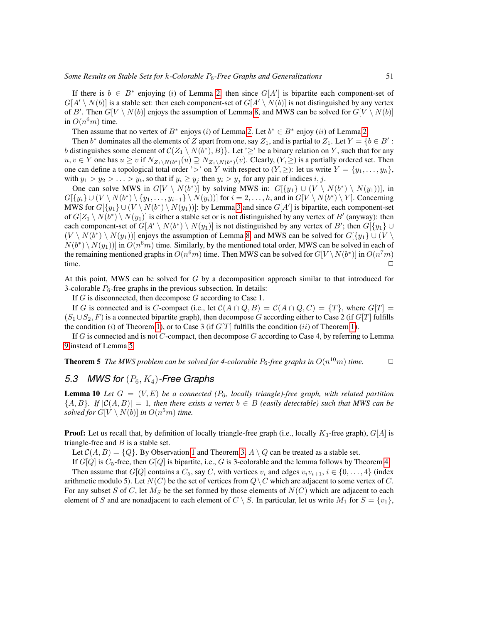If there is  $b \in B^*$  enjoying (i) of Lemma [2,](#page-5-1) then since  $G[A']$  is bipartite each component-set of  $G[A' \setminus N(b)]$  is a stable set: then each component-set of  $G[A' \setminus N(b)]$  is not distinguished by any vertex of B'. Then  $G[V \setminus N(b)]$  enjoys the assumption of Lemma [8,](#page-12-2) and MWS can be solved for  $G[V \setminus N(b)]$ in  $O(n^6m)$  time.

Then assume that no vertex of  $B^*$  enjoys (i) of Lemma [2.](#page-5-1) Let  $b^* \in B^*$  enjoy (ii) of Lemma 2.

Then  $b^*$  dominates all the elements of Z apart from one, say  $Z_1$ , and is partial to  $Z_1$ . Let  $Y = \{b \in B' :$ b distinguishes some element of  $\mathcal{C}(Z_1 \setminus N(b^*), B)$ . Let ' $\geq$ ' be a binary relation on Y, such that for any  $u, v \in Y$  one has  $u \ge v$  if  $N_{Z_1 \setminus N(b^*)}(u) \supseteq N_{Z_1 \setminus N(b^*)}(v)$ . Clearly,  $(Y, \ge)$  is a partially ordered set. Then one can define a topological total order '>' on Y with respect to  $(Y, \geq)$ : let us write  $Y = \{y_1, \ldots, y_h\}$ , with  $y_1 > y_2 > \ldots > y_t$ , so that if  $y_i \ge y_j$  then  $y_i > y_j$  for any pair of indices  $i, j$ .

One can solve MWS in  $G[V \setminus N(b^*)]$  by solving MWS in:  $G[{y_1} \cup (V \setminus N(b^*) \setminus N(y_1))]$ , in  $G[\{y_i\} \cup (V \setminus N(b^*) \setminus \{y_1, \ldots, y_{i-1}\} \setminus N(y_i))]$  for  $i = 2, \ldots, h$ , and in  $G[V \setminus N(b^*) \setminus Y]$ . Concerning MWS for  $G[\{y_1\} \cup (V \setminus N(b^*) \setminus N(y_1))]$ : by Lemma [3](#page-6-0) and since  $G[A']$  is bipartite, each component-set of  $G[Z_1 \setminus N(b^*) \setminus N(y_1)]$  is either a stable set or is not distinguished by any vertex of  $B'$  (anyway): then each component-set of  $G[A' \setminus N(b^*) \setminus N(y_1)]$  is not distinguished by any vertex of B'; then  $G[\lbrace y_1 \rbrace \cup$  $(V \setminus N(b^*) \setminus N(y_1))]$  enjoys the assumption of Lemma [8,](#page-12-2) and MWS can be solved for  $G[\lbrace y_1 \rbrace \cup (V \setminus N(b^*) \setminus N(y_1))]$  $N(b^*) \setminus N(y_1))$  in  $O(n^6m)$  time. Similarly, by the mentioned total order, MWS can be solved in each of the remaining mentioned graphs in  $O(n^6m)$  time. Then MWS can be solved for  $G[V \setminus N(b^*)]$  in  $O(n^7m)$ time.  $\Box$ 

At this point, MWS can be solved for  $G$  by a decomposition approach similar to that introduced for 3-colorable  $P_6$ -free graphs in the previous subsection. In details:

If  $G$  is disconnected, then decompose  $G$  according to Case 1.

If G is connected and is C-compact (i.e., let  $C(A \cap Q, B) = C(A \cap Q, C) = \{T\}$ , where  $G[T] =$  $(S_1 \cup S_2, F)$  is a connected bipartite graph), then decompose G according either to Case 2 (if G[T] fulfills the condition (i) of Theorem [1\)](#page-4-0), or to Case 3 (if  $G[T]$  fulfills the condition (ii) of Theorem 1).

If  $G$  is connected and is not  $C$ -compact, then decompose  $G$  according to Case 4, by referring to Lemma [9](#page-13-0) instead of Lemma [5.](#page-9-0)

**Theorem 5** The MWS problem can be solved for 4-colorable  $P_6$ -free graphs in  $O(n^{10}m)$  time.  $\Box$ 

### *5.3 MWS for* (P6, K4)*-Free Graphs*

<span id="page-14-0"></span>**Lemma 10** Let  $G = (V, E)$  be a connected ( $P_6$ , locally triangle)-free graph, with related partition  ${A, B}$ *. If*  $|C(A, B)| = 1$ *, then there exists a vertex*  $b \in B$  *(easily detectable) such that MWS can be solved for*  $G[V \setminus N(b)]$  *in*  $O(n^5m)$  *time.* 

**Proof:** Let us recall that, by definition of locally triangle-free graph (i.e., locally  $K_3$ -free graph),  $G[A]$  is triangle-free and  $B$  is a stable set.

Let  $C(A, B) = \{Q\}$ . By Observation [1](#page-7-0) and Theorem [3,](#page-5-3)  $A \setminus Q$  can be treated as a stable set.

If  $G[Q]$  is  $C_5$ -free, then  $G[Q]$  is bipartite, i.e., G is 3-colorable and the lemma follows by Theorem [4.](#page-12-1) Then assume that  $G[Q]$  contains a  $C_5$ , say C, with vertices  $v_i$  and edges  $v_i v_{i+1}$ ,  $i \in \{0, ..., 4\}$  (index arithmetic modulo 5). Let  $N(C)$  be the set of vertices from  $Q \setminus C$  which are adjacent to some vertex of C. For any subset S of C, let  $M_S$  be the set formed by those elements of  $N(C)$  which are adjacent to each element of S and are nonadjacent to each element of  $C \setminus S$ . In particular, let us write  $M_1$  for  $S = \{v_1\}$ ,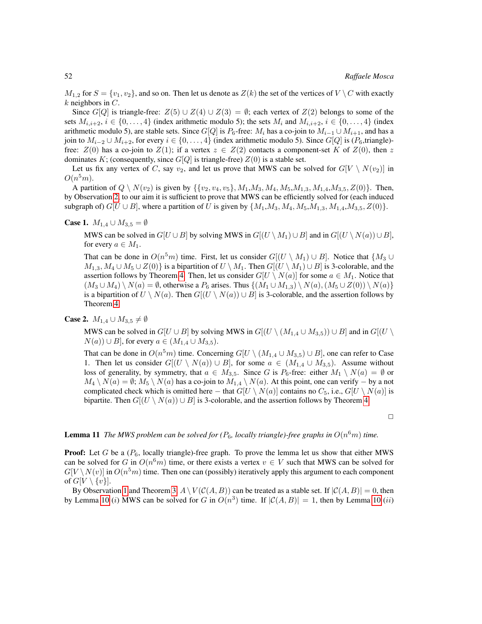$M_{1,2}$  for  $S = \{v_1, v_2\}$ , and so on. Then let us denote as  $Z(k)$  the set of the vertices of  $V \setminus C$  with exactly  $k$  neighbors in  $C$ .

Since  $G[Q]$  is triangle-free:  $Z(5) \cup Z(4) \cup Z(3) = \emptyset$ ; each vertex of  $Z(2)$  belongs to some of the sets  $M_{i,i+2}$ ,  $i \in \{0,\ldots,4\}$  (index arithmetic modulo 5); the sets  $M_i$  and  $M_{i,i+2}$ ,  $i \in \{0,\ldots,4\}$  (index arithmetic modulo 5), are stable sets. Since  $G[Q]$  is  $P_6$ -free:  $M_i$  has a co-join to  $M_{i-1} \cup M_{i+1}$ , and has a join to  $M_{i-2} \cup M_{i+2}$ , for every  $i \in \{0, \ldots, 4\}$  (index arithmetic modulo 5). Since  $G[Q]$  is  $(P_6,$ triangle)free:  $Z(0)$  has a co-join to  $Z(1)$ ; if a vertex  $z \in Z(2)$  contacts a component-set K of  $Z(0)$ , then z dominates K; (consequently, since  $G[Q]$  is triangle-free)  $Z(0)$  is a stable set.

Let us fix any vertex of C, say  $v_2$ , and let us prove that MWS can be solved for  $G[V \setminus N(v_2)]$  in  $O(n^5m)$ .

A partition of  $Q \setminus N(v_2)$  is given by  $\{\{v_2, v_4, v_5\}, M_1, M_3, M_4, M_5, M_{1,3}, M_{1,4}, M_{3,5}, Z(0)\}\.$  Then, by Observation [2,](#page-7-2) to our aim it is sufficient to prove that MWS can be efficiently solved for (each induced subgraph of)  $G[U \cup B]$ , where a partition of U is given by  $\{M_1, M_3, M_4, M_5, M_{1,3}, M_{1,4}, M_{3,5}, Z(0)\}.$ 

#### **Case 1.**  $M_{1,4} \cup M_{3,5} = \emptyset$

MWS can be solved in  $G[U \cup B]$  by solving MWS in  $G[(U \setminus M_1) \cup B]$  and in  $G[(U \setminus N(a)) \cup B]$ , for every  $a \in M_1$ .

That can be done in  $O(n^5m)$  time. First, let us consider  $G[(U \setminus M_1) \cup B]$ . Notice that  $\{M_3 \cup$  $M_{1,3}, M_4 \cup M_5 \cup Z(0)$  is a bipartition of  $U \setminus M_1$ . Then  $G[(U \setminus M_1) \cup B]$  is 3-colorable, and the assertion follows by Theorem [4.](#page-12-1) Then, let us consider  $G[U \setminus N(a)]$  for some  $a \in M_1$ . Notice that  $(M_3 \cup M_4) \setminus N(a) = \emptyset$ , otherwise a  $P_6$  arises. Thus  $\{(M_1 \cup M_{1,3}) \setminus N(a), (M_5 \cup Z(0)) \setminus N(a)\}$ is a bipartition of  $U \setminus N(a)$ . Then  $G[(U \setminus N(a)) \cup B]$  is 3-colorable, and the assertion follows by Theorem [4.](#page-12-1)

#### **Case 2.**  $M_{1,4} \cup M_{3,5} \neq \emptyset$

MWS can be solved in  $G[U \cup B]$  by solving MWS in  $G[(U \setminus (M_{1,4} \cup M_{3,5})) \cup B]$  and in  $G[(U \setminus$  $N(a)$  ∪ B], for every  $a \in (M_{1,4} \cup M_{3,5}).$ 

That can be done in  $O(n^5m)$  time. Concerning  $G[U \setminus (M_{1,4} \cup M_{3,5}) \cup B]$ , one can refer to Case 1. Then let us consider  $G[(U \setminus N(a)) \cup B]$ , for some  $a \in (M_{1,4} \cup M_{3,5})$ . Assume without loss of generality, by symmetry, that  $a \in M_{3,5}$ . Since G is  $P_6$ -free: either  $M_1 \setminus N(a) = \emptyset$  or  $M_4 \setminus N(a) = \emptyset$ ;  $M_5 \setminus N(a)$  has a co-join to  $M_{1,4} \setminus N(a)$ . At this point, one can verify – by a not complicated check which is omitted here – that  $G[U \setminus N(a)]$  contains no  $C_5$ , i.e.,  $G[U \setminus N(a)]$  is bipartite. Then  $G[(U \setminus N(a)) \cup B]$  is 3-colorable, and the assertion follows by Theorem [4.](#page-12-1)

 $\Box$ 

### <span id="page-15-0"></span>**Lemma 11** The MWS problem can be solved for ( $P_6$ , locally triangle)-free graphs in  $O(n^6m)$  time.

**Proof:** Let G be a  $(P_6,$  locally triangle)-free graph. To prove the lemma let us show that either MWS can be solved for G in  $O(n^6m)$  time, or there exists a vertex  $v \in V$  such that MWS can be solved for  $G[V \setminus N(v)]$  in  $O(n^5m)$  time. Then one can (possibly) iteratively apply this argument to each component of  $G[V \setminus \{v\}]$ .

By Observation [1](#page-7-0) and Theorem [3,](#page-5-3)  $A \setminus V(C(A, B))$  can be treated as a stable set. If  $|C(A, B)| = 0$ , then by Lemma [10](#page-14-0) (*i*) MWS can be solved for G in  $O(n^3)$  time. If  $|C(A, B)| = 1$ , then by Lemma 10 (*ii*)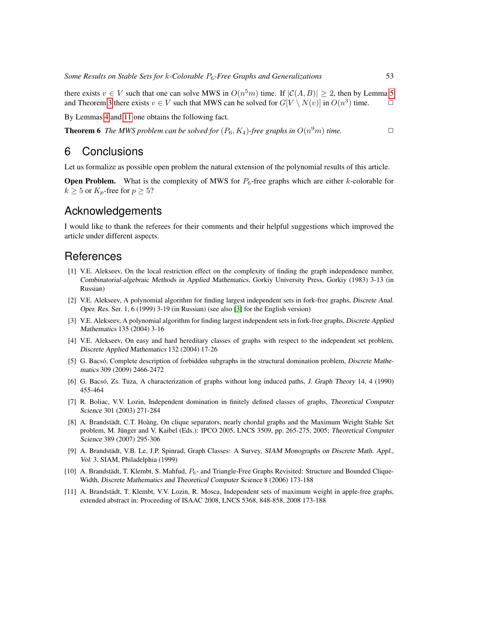there exists  $v \in V$  such that one can solve MWS in  $O(n^5m)$  time. If  $|\mathcal{C}(A, B)| \geq 2$ , then by Lemma [5](#page-9-0) and Theorem [3](#page-5-3) there exists  $v \in V$  such that MWS can be solved for  $G[V \setminus N(v)]$  in  $O(n^3)$  time.  $\Box$ 

By Lemmas [4](#page-7-1) and [11](#page-15-0) one obtains the following fact.

**Theorem 6** The MWS problem can be solved for  $(P_6, K_4)$ -free graphs in  $O(n^9m)$  time.

### 6 Conclusions

Let us formalize as possible open problem the natural extension of the polynomial results of this article.

**Open Problem.** What is the complexity of MWS for  $P_6$ -free graphs which are either k-colorable for  $k \geq 5$  or  $K_p$ -free for  $p \geq 5$ ?

# Acknowledgements

I would like to thank the referees for their comments and their helpful suggestions which improved the article under different aspects.

# **References**

- <span id="page-16-3"></span>[1] V.E. Alekseev, On the local restriction effect on the complexity of finding the graph independence number, Combinatorial-algebraic Methods in Applied Mathematics, Gorkiy University Press, Gorkiy (1983) 3-13 (in Russian)
- <span id="page-16-0"></span>[2] V.E. Alekseev, A polynomial algorithm for finding largest independent sets in fork-free graphs, Discrete Anal. Oper. Res. Ser. 1, 6 (1999) 3-19 (in Russian) (see also [\[3\]](#page-16-1) for the English version)
- <span id="page-16-1"></span>[3] V.E. Alekseev, A polynomial algorithm for finding largest independent sets in fork-free graphs, Discrete Applied Mathematics 135 (2004) 3-16
- <span id="page-16-4"></span>[4] V.E. Alekseev, On easy and hard hereditary classes of graphs with respect to the independent set problem, Discrete Applied Mathematics 132 (2004) 17-26
- <span id="page-16-6"></span>[5] G. Bacsó, Complete description of forbidden subgraphs in the structural domination problem, Discrete Mathematics 309 (2009) 2466-2472
- <span id="page-16-5"></span>[6] G. Bacsó, Zs. Tuza, A characterization of graphs without long induced paths, J. Graph Theory 14, 4 (1990) 455-464
- <span id="page-16-9"></span>[7] R. Boliac, V.V. Lozin, Independent domination in finitely defined classes of graphs, Theoretical Computer Science 301 (2003) 271-284
- <span id="page-16-8"></span>[8] A. Brandstädt, C.T. Hoàng, On clique separators, nearly chordal graphs and the Maximum Weight Stable Set problem, M. Jünger and V. Kaibel (Eds.): IPCO 2005, LNCS 3509, pp. 265-275, 2005; Theoretical Computer Science 389 (2007) 295-306
- <span id="page-16-10"></span>[9] A. Brandstädt, V.B. Le, J.P. Spinrad, Graph Classes: A Survey, SIAM Monographs on Discrete Math. Appl., Vol. 3, SIAM, Philadelphia (1999)
- <span id="page-16-7"></span>[10] A. Brandstädt, T. Klembt, S. Mahfud,  $P_6$ - and Triangle-Free Graphs Revisited: Structure and Bounded Clique-Width, Discrete Mathematics and Theoretical Computer Science 8 (2006) 173-188
- <span id="page-16-2"></span>[11] A. Brandstädt, T. Klembt, V.V. Lozin, R. Mosca, Independent sets of maximum weight in apple-free graphs, extended abstract in: Proceeding of ISAAC 2008, LNCS 5368, 848-858, 2008 173-188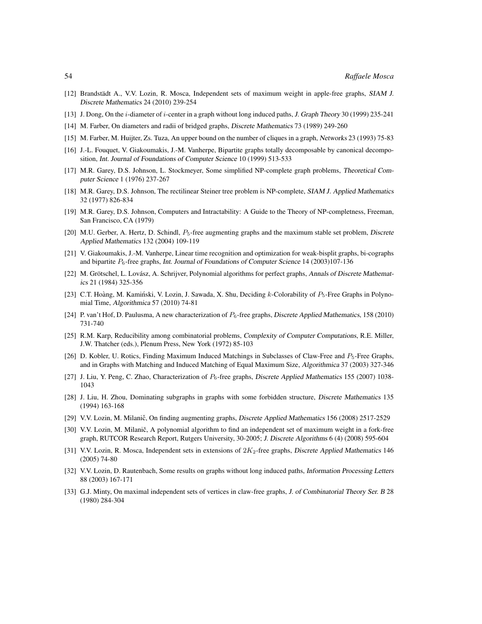- <span id="page-17-4"></span>[12] Brandstädt A., V.V. Lozin, R. Mosca, Independent sets of maximum weight in apple-free graphs, SIAM J. Discrete Mathematics 24 (2010) 239-254
- <span id="page-17-12"></span>[13] J. Dong, On the i-diameter of i-center in a graph without long induced paths, J. Graph Theory 30 (1999) 235-241
- <span id="page-17-7"></span>[14] M. Farber, On diameters and radii of bridged graphs, Discrete Mathematics 73 (1989) 249-260
- <span id="page-17-8"></span>[15] M. Farber, M. Huijter, Zs. Tuza, An upper bound on the number of cliques in a graph, Networks 23 (1993) 75-83
- <span id="page-17-13"></span>[16] J.-L. Fouquet, V. Giakoumakis, J.-M. Vanherpe, Bipartite graphs totally decomposable by canonical decomposition, Int. Journal of Foundations of Computer Science 10 (1999) 513-533
- <span id="page-17-2"></span>[17] M.R. Garey, D.S. Johnson, L. Stockmeyer, Some simplified NP-complete graph problems, Theoretical Computer Science 1 (1976) 237-267
- <span id="page-17-1"></span>[18] M.R. Garey, D.S. Johnson, The rectilinear Steiner tree problem is NP-complete, SIAM J. Applied Mathematics 32 (1977) 826-834
- <span id="page-17-18"></span>[19] M.R. Garey, D.S. Johnson, Computers and Intractability: A Guide to the Theory of NP-completness, Freeman, San Francisco, CA (1979)
- <span id="page-17-11"></span>[20] M.U. Gerber, A. Hertz, D. Schindl,  $P_5$ -free augmenting graphs and the maximum stable set problem, Discrete Applied Mathematics 132 (2004) 109-119
- <span id="page-17-14"></span>[21] V. Giakoumakis, J.-M. Vanherpe, Linear time recognition and optimization for weak-bisplit graphs, bi-cographs and bipartite P6-free graphs, Int. Journal of Foundations of Computer Science 14 (2003)107-136
- <span id="page-17-3"></span>[22] M. Grötschel, L. Lovász, A. Schrijver, Polynomial algorithms for perfect graphs, Annals of Discrete Mathematics 21 (1984) 325-356
- <span id="page-17-19"></span>[23] C.T. Hoàng, M. Kamiński, V. Lozin, J. Sawada, X. Shu, Deciding  $k$ -Colorability of  $P_5$ -Free Graphs in Polynomial Time, Algorithmica 57 (2010) 74-81
- <span id="page-17-15"></span>[24] P. van't Hof, D. Paulusma, A new characterization of  $P_6$ -free graphs, Discrete Applied Mathematics, 158 (2010) 731-740
- <span id="page-17-0"></span>[25] R.M. Karp, Reducibility among combinatorial problems, Complexity of Computer Computations, R.E. Miller, J.W. Thatcher (eds.), Plenum Press, New York (1972) 85-103
- <span id="page-17-20"></span>[26] D. Kobler, U. Rotics, Finding Maximum Induced Matchings in Subclasses of Claw-Free and  $P_5$ -Free Graphs, and in Graphs with Matching and Induced Matching of Equal Maximum Size, Algorithmica 37 (2003) 327-346
- <span id="page-17-17"></span>[27] J. Liu, Y. Peng, C. Zhao, Characterization of  $P_6$ -free graphs, Discrete Applied Mathematics 155 (2007) 1038-1043
- <span id="page-17-16"></span>[28] J. Liu, H. Zhou, Dominating subgraphs in graphs with some forbidden structure, Discrete Mathematics 135 (1994) 163-168
- <span id="page-17-21"></span>[29] V.V. Lozin, M. Milanič, On finding augmenting graphs, Discrete Applied Mathematics 156 (2008) 2517-2529
- <span id="page-17-5"></span>[30] V.V. Lozin, M. Milanič, A polynomial algorithm to find an independent set of maximum weight in a fork-free graph, RUTCOR Research Report, Rutgers University, 30-2005; J. Discrete Algorithms 6 (4) (2008) 595-604
- <span id="page-17-9"></span>[31] V.V. Lozin, R. Mosca, Independent sets in extensions of  $2K_2$ -free graphs, Discrete Applied Mathematics 146 (2005) 74-80
- <span id="page-17-10"></span>[32] V.V. Lozin, D. Rautenbach, Some results on graphs without long induced paths, Information Processing Letters 88 (2003) 167-171
- <span id="page-17-6"></span>[33] G.J. Minty, On maximal independent sets of vertices in claw-free graphs, J. of Combinatorial Theory Ser. B 28 (1980) 284-304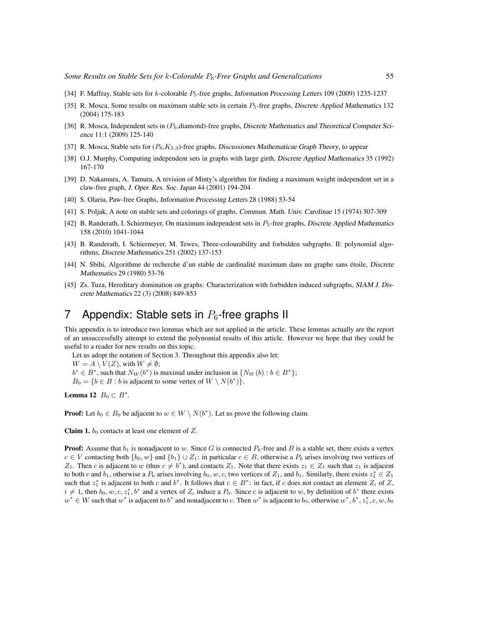- <span id="page-18-6"></span>[34] F. Maffray, Stable sets for k-colorable P5-free graphs, Information Processing Letters 109 (2009) 1235-1237
- <span id="page-18-5"></span>[35] R. Mosca, Some results on maximum stable sets in certain  $P_5$ -free graphs, Discrete Applied Mathematics 132 (2004) 175-183
- <span id="page-18-8"></span>[36] R. Mosca, Independent sets in ( $P_6$ , diamond)-free graphs, Discrete Mathematics and Theoretical Computer Science 11:1 (2009) 125-140
- <span id="page-18-10"></span>[37] R. Mosca, Stable sets for  $(P_6, K_{2,3})$ -free graphs, Discussiones Mathematicae Graph Theory, to appear
- <span id="page-18-0"></span>[38] O.J. Murphy, Computing independent sets in graphs with large girth, Discrete Applied Mathematics 35 (1992) 167-170
- <span id="page-18-2"></span>[39] D. Nakamura, A. Tamura, A revision of Minty's algorithm for finding a maximum weight independent set in a claw-free graph, J. Oper. Res. Soc. Japan 44 (2001) 194-204
- <span id="page-18-11"></span>[40] S. Olariu, Paw-free Graphs, Information Processing Letters 28 (1988) 53-54
- <span id="page-18-1"></span>[41] S. Poljak, A note on stable sets and colorings of graphs, Commun. Math. Univ. Carolinae 15 (1974) 307-309
- <span id="page-18-4"></span>[42] B. Randerath, I. Schiermeyer, On maximum independent sets in  $P_5$ -free graphs, Discrete Applied Mathematics 158 (2010) 1041-1044
- <span id="page-18-9"></span>[43] B. Randerath, I. Schiermeyer, M. Tewes, Three-colourability and forbidden subgraphs. II: polynomial algorithms, Discrete Mathematics 251 (2002) 137-153
- <span id="page-18-3"></span>[44] N. Sbihi, Algorithme de recherche d'un stable de cardinalité maximum dans un graphe sans étoile, Discrete Mathematics 29 (1980) 53-76
- <span id="page-18-7"></span>[45] Zs. Tuza, Hereditary domination on graphs: Characterization with forbidden induced subgraphs, SIAM J. Discrete Mathematics 22 (3) (2008) 849-853

# 7 Appendix: Stable sets in  $P_6$ -free graphs II

This appendix is to introduce two lemmas which are not applied in the article. These lemmas actually are the report of an unsuccessfully attempt to extend the polynomial results of this article. However we hope that they could be useful to a reader for new results on this topic.

Let us adopt the notation of Section 3. Throughout this appendix also let:

 $W = A \setminus V(Z)$ , with  $W \neq \emptyset$ ;

 $b^* \in B^*$ , such that  $N_W(b^*)$  is maximal under inclusion in  $\{N_W(b) : b \in B^*\}$ ;

 $B_0 = \{b \in B : b \text{ is adjacent to some vertex of } W \setminus N(b^*)\}.$ 

<span id="page-18-12"></span>Lemma 12  $B_0 \subset B^*$ .

**Proof:** Let  $b_0 \in B_0$  be adjacent to  $w \in W \setminus N(b^*)$ . Let us prove the following claim.

Claim 1.  $b_0$  contacts at least one element of Z.

**Proof:** Assume that  $b_1$  is nonadjacent to w. Since G is connected  $P_6$ -free and B is a stable set, there exists a vertex  $c \in V$  contacting both  $\{b_0, w\}$  and  $\{b_1\} \cup Z_1$ : in particular  $c \in B$ , otherwise a  $P_6$  arises involving two vertices of Z<sub>1</sub>. Then c is adjacent to w (thus  $c \neq b^*$ ), and contacts Z<sub>1</sub>. Note that there exists  $z_1 \in Z_1$  such that  $z_1$  is adjacent to both c and  $b_1$ , otherwise a  $P_6$  arises involving  $b_0, w, c$ , two vertices of  $Z_1$ , and  $b_1$ . Similarly, there exists  $z_1^* \in Z_1$ such that  $z_1^*$  is adjacent to both c and  $b^*$ . It follows that  $c \in B^*$ : in fact, if c does not contact an element  $Z_i$  of Z,  $i \neq 1$ , then  $b_0, w, c, z_1^*, b^*$  and a vertex of  $Z_i$  induce a  $P_6$ . Since c is adjacent to w, by definition of  $b^*$  there exists  $w^* \in W$  such that  $w^*$  is adjacent to  $b^*$  and nonadjacent to c. Then  $w^*$  is adjacent to  $b_0$ , otherwise  $w^*, b^*, z_1^*, c, w, b_0$